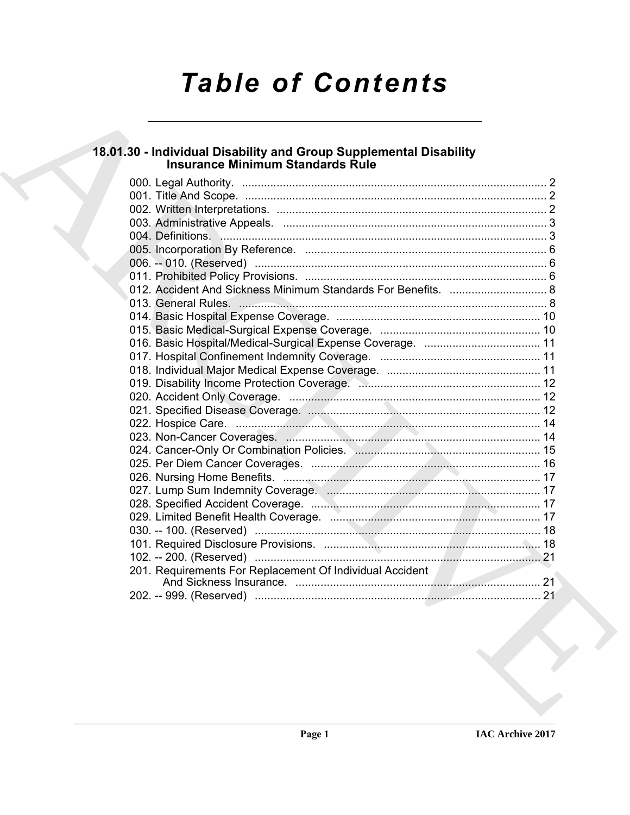# **Table of Contents**

# 18.01.30 - Individual Disability and Group Supplemental Disability<br>Insurance Minimum Standards Rule

|  | 012. Accident And Sickness Minimum Standards For Benefits.  8 |  |
|--|---------------------------------------------------------------|--|
|  |                                                               |  |
|  |                                                               |  |
|  |                                                               |  |
|  |                                                               |  |
|  |                                                               |  |
|  |                                                               |  |
|  |                                                               |  |
|  |                                                               |  |
|  |                                                               |  |
|  |                                                               |  |
|  |                                                               |  |
|  |                                                               |  |
|  |                                                               |  |
|  |                                                               |  |
|  |                                                               |  |
|  |                                                               |  |
|  |                                                               |  |
|  |                                                               |  |
|  |                                                               |  |
|  |                                                               |  |
|  |                                                               |  |
|  |                                                               |  |
|  |                                                               |  |
|  |                                                               |  |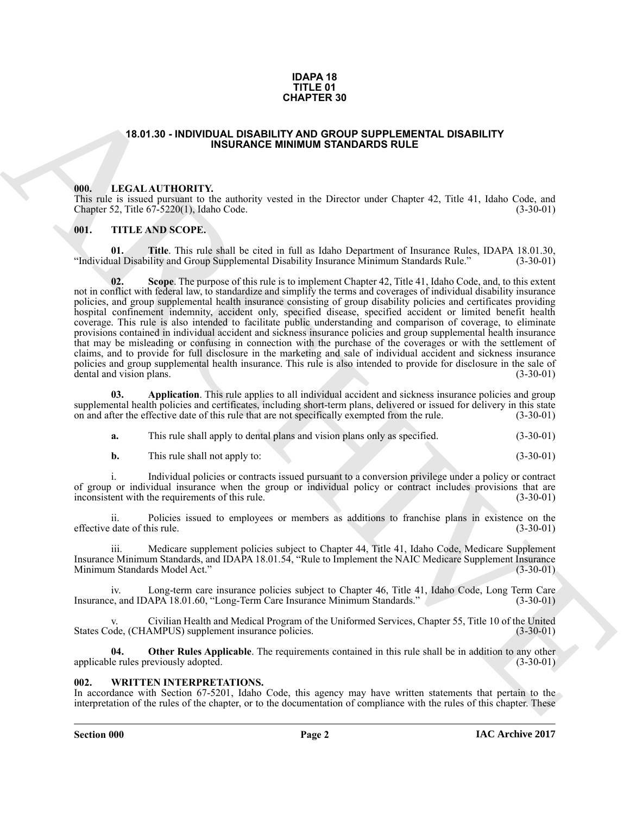#### **IDAPA 18 TITLE 01 CHAPTER 30**

#### <span id="page-1-0"></span>**18.01.30 - INDIVIDUAL DISABILITY AND GROUP SUPPLEMENTAL DISABILITY INSURANCE MINIMUM STANDARDS RULE**

#### <span id="page-1-1"></span>**000. LEGAL AUTHORITY.**

This rule is issued pursuant to the authority vested in the Director under Chapter 42, Title 41, Idaho Code, and Chapter 52, Title 67-5220(1), Idaho Code. Chapter 52, Title  $67-5220(1)$ , Idaho Code.

#### <span id="page-1-2"></span>**001. TITLE AND SCOPE.**

**01. Title**. This rule shall be cited in full as Idaho Department of Insurance Rules, IDAPA 18.01.30, ual Disability and Group Supplemental Disability Insurance Minimum Standards Rule." (3-30-01) "Individual Disability and Group Supplemental Disability Insurance Minimum Standards Rule."

**EXAMPHER 30**<br> **CHAPTER 30**<br> **CHAPTER 30**<br> **CHAPTER 30**<br> **CHAPTER 30**<br> **CHAPTER 30**<br> **CHAPTER 30**<br> **CHAPTER 30**<br> **CHAPTER 30**<br> **CHAPTER 30**<br> **CHAPTER 30**<br> **CHAPTER 30**<br> **CHAPTER 30**<br> **CHAPTER 30**<br> **CHAPTER 30**<br> **CHAPTER 3 Scope**. The purpose of this rule is to implement Chapter 42, Title 41, Idaho Code, and, to this extent not in conflict with federal law, to standardize and simplify the terms and coverages of individual disability insurance policies, and group supplemental health insurance consisting of group disability policies and certificates providing hospital confinement indemnity, accident only, specified disease, specified accident or limited benefit health coverage. This rule is also intended to facilitate public understanding and comparison of coverage, to eliminate provisions contained in individual accident and sickness insurance policies and group supplemental health insurance that may be misleading or confusing in connection with the purchase of the coverages or with the settlement of claims, and to provide for full disclosure in the marketing and sale of individual accident and sickness insurance policies and group supplemental health insurance. This rule is also intended to provide for disclosure in the sale of dental and vision plans. (3-30-01) dental and vision plans.

**03.** Application. This rule applies to all individual accident and sickness insurance policies and group supplemental health policies and certificates, including short-term plans, delivered or issued for delivery in this state<br>on and after the effective date of this rule that are not specifically exempted from the rule. (3-30 on and after the effective date of this rule that are not specifically exempted from the rule.

**a.** This rule shall apply to dental plans and vision plans only as specified.  $(3-30-01)$ 

**b.** This rule shall not apply to: (3-30-01)

i. Individual policies or contracts issued pursuant to a conversion privilege under a policy or contract of group or individual insurance when the group or individual policy or contract includes provisions that are inconsistent with the requirements of this rule. (3-30-01) inconsistent with the requirements of this rule.

ii. Policies issued to employees or members as additions to franchise plans in existence on the effective date of this rule. (3-30-01)

iii. Medicare supplement policies subject to Chapter 44, Title 41, Idaho Code, Medicare Supplement Insurance Minimum Standards, and IDAPA 18.01.54, "Rule to Implement the NAIC Medicare Supplement Insurance Minimum Standards Model Act." (3-30-01)

iv. Long-term care insurance policies subject to Chapter 46, Title 41, Idaho Code, Long Term Care<br>e, and IDAPA 18.01.60, "Long-Term Care Insurance Minimum Standards." (3-30-01) Insurance, and IDAPA 18.01.60, "Long-Term Care Insurance Minimum Standards."

Civilian Health and Medical Program of the Uniformed Services, Chapter 55, Title 10 of the United AMPUS) supplement insurance policies. (3-30-01) States Code, (CHAMPUS) supplement insurance policies.

**04. Other Rules Applicable**. The requirements contained in this rule shall be in addition to any other le rules previously adopted. (3-30-01) applicable rules previously adopted.

#### <span id="page-1-3"></span>**002. WRITTEN INTERPRETATIONS.**

In accordance with Section 67-5201, Idaho Code, this agency may have written statements that pertain to the interpretation of the rules of the chapter, or to the documentation of compliance with the rules of this chapter. These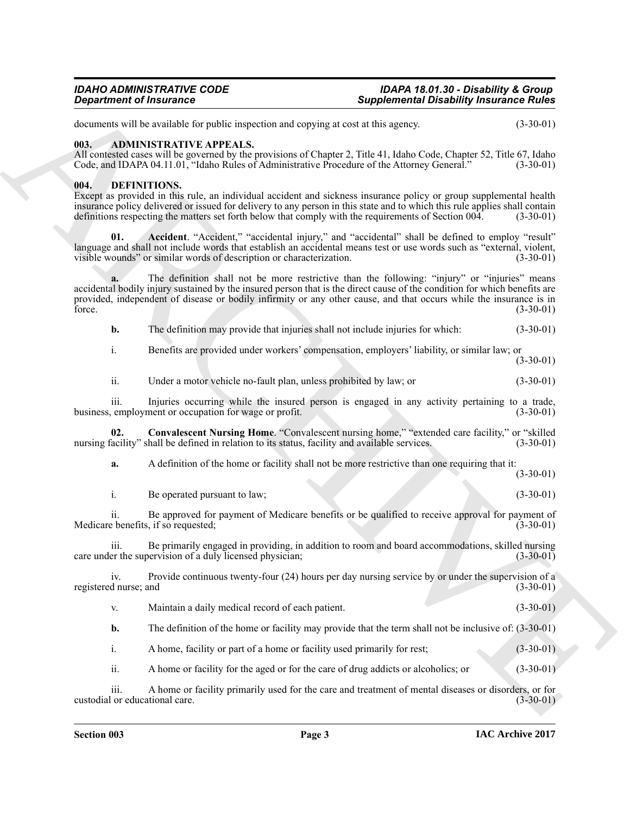#### <span id="page-2-0"></span>**003. ADMINISTRATIVE APPEALS.**

#### <span id="page-2-4"></span><span id="page-2-3"></span><span id="page-2-2"></span><span id="page-2-1"></span>**004. DEFINITIONS.**

|                              | <b>Department of Insurance</b>                                                                 | <b>Supplemental Disability Insurance Rules</b>                                                                                                                                                                                                                                                                                                           |                                                                                                      |
|------------------------------|------------------------------------------------------------------------------------------------|----------------------------------------------------------------------------------------------------------------------------------------------------------------------------------------------------------------------------------------------------------------------------------------------------------------------------------------------------------|------------------------------------------------------------------------------------------------------|
|                              | documents will be available for public inspection and copying at cost at this agency.          |                                                                                                                                                                                                                                                                                                                                                          | $(3-30-01)$                                                                                          |
| 003.                         | <b>ADMINISTRATIVE APPEALS.</b>                                                                 | All contested cases will be governed by the provisions of Chapter 2, Title 41, Idaho Code, Chapter 52, Title 67, Idaho<br>Code, and IDAPA 04.11.01, "Idaho Rules of Administrative Procedure of the Attorney General."                                                                                                                                   | $(3-30-01)$                                                                                          |
| 004.                         | DEFINITIONS.                                                                                   | Except as provided in this rule, an individual accident and sickness insurance policy or group supplemental health<br>insurance policy delivered or issued for delivery to any person in this state and to which this rule applies shall contain<br>definitions respecting the matters set forth below that comply with the requirements of Section 004. | $(3-30-01)$                                                                                          |
| 01.                          | visible wounds" or similar words of description or characterization.                           | Accident. "Accident," "accidental injury," and "accidental" shall be defined to employ "result"<br>language and shall not include words that establish an accidental means test or use words such as "external, violent,                                                                                                                                 | $(3-30-01)$                                                                                          |
| force.                       |                                                                                                | The definition shall not be more restrictive than the following: "injury" or "injuries" means<br>accidental bodily injury sustained by the insured person that is the direct cause of the condition for which benefits are<br>provided, independent of disease or bodily infirmity or any other cause, and that occurs while the insurance is in         | $(3-30-01)$                                                                                          |
| b.                           |                                                                                                | The definition may provide that injuries shall not include injuries for which:                                                                                                                                                                                                                                                                           | $(3-30-01)$                                                                                          |
| i.                           |                                                                                                | Benefits are provided under workers' compensation, employers' liability, or similar law; or                                                                                                                                                                                                                                                              | $(3-30-01)$                                                                                          |
| ii.                          | Under a motor vehicle no-fault plan, unless prohibited by law; or                              |                                                                                                                                                                                                                                                                                                                                                          | $(3-30-01)$                                                                                          |
| <i>iii.</i>                  | business, employment or occupation for wage or profit.                                         | Injuries occurring while the insured person is engaged in any activity pertaining to a trade,                                                                                                                                                                                                                                                            | $(3-30-01)$                                                                                          |
| 02.                          | nursing facility" shall be defined in relation to its status, facility and available services. | Convalescent Nursing Home. "Convalescent nursing home," "extended care facility," or "skilled                                                                                                                                                                                                                                                            | $(3-30-01)$                                                                                          |
| a.                           |                                                                                                | A definition of the home or facility shall not be more restrictive than one requiring that it:                                                                                                                                                                                                                                                           | $(3-30-01)$                                                                                          |
| i.                           | Be operated pursuant to law;                                                                   |                                                                                                                                                                                                                                                                                                                                                          | $(3-30-01)$                                                                                          |
| 11.                          | Medicare benefits, if so requested;                                                            | Be approved for payment of Medicare benefits or be qualified to receive approval for payment of                                                                                                                                                                                                                                                          | $(3-30-01)$                                                                                          |
| 111.                         | care under the supervision of a duly licensed physician;                                       | Be primarily engaged in providing, in addition to room and board accommodations, skilled nursing                                                                                                                                                                                                                                                         | $(3-30-01)$                                                                                          |
| iv.<br>registered nurse; and |                                                                                                | Provide continuous twenty-four (24) hours per day nursing service by or under the supervision of a                                                                                                                                                                                                                                                       | $(3-30-01)$                                                                                          |
| V.                           | Maintain a daily medical record of each patient.                                               |                                                                                                                                                                                                                                                                                                                                                          | $(3-30-01)$                                                                                          |
| b.                           |                                                                                                | The definition of the home or facility may provide that the term shall not be inclusive of: $(3-30-01)$                                                                                                                                                                                                                                                  |                                                                                                      |
| $\mathbf{i}$ .               | A home, facility or part of a home or facility used primarily for rest;                        |                                                                                                                                                                                                                                                                                                                                                          | $(3-30-01)$                                                                                          |
| ii.                          |                                                                                                | A home or facility for the aged or for the care of drug addicts or alcoholics; or                                                                                                                                                                                                                                                                        | $(3-30-01)$                                                                                          |
|                              |                                                                                                |                                                                                                                                                                                                                                                                                                                                                          | A home or facility primarily used for the care and treatment of mental diseases or disorders, or for |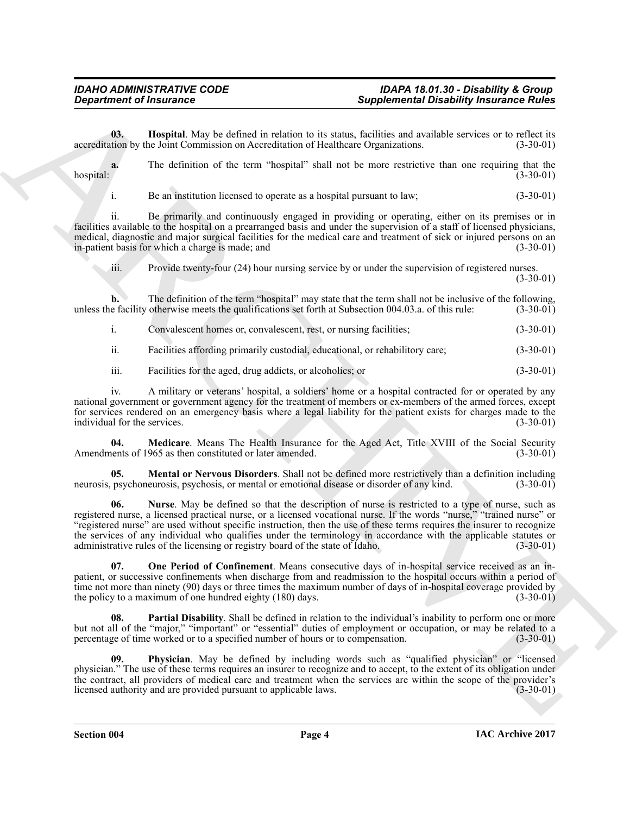<span id="page-3-0"></span>**03. Hospital**. May be defined in relation to its status, facilities and available services or to reflect its tion by the Joint Commission on Accreditation of Healthcare Organizations. (3-30-01) accreditation by the Joint Commission on Accreditation of Healthcare Organizations.

**a.** The definition of the term "hospital" shall not be more restrictive than one requiring that the hospital: (3-30-01)

i. Be an institution licensed to operate as a hospital pursuant to law; (3-30-01)

ii. Be primarily and continuously engaged in providing or operating, either on its premises or in facilities available to the hospital on a prearranged basis and under the supervision of a staff of licensed physicians, medical, diagnostic and major surgical facilities for the medical care and treatment of sick or injured persons on an in-patient basis for which a charge is made: and in-patient basis for which a charge is made; and

iii. Provide twenty-four (24) hour nursing service by or under the supervision of registered nurses.

(3-30-01)

**b.** The definition of the term "hospital" may state that the term shall not be inclusive of the following, unless the facility otherwise meets the qualifications set forth at Subsection 004.03.a. of this rule: (3-30-01)

| Convalescent homes or, convalescent, rest, or nursing facilities; |  | $(3-30-01)$ |
|-------------------------------------------------------------------|--|-------------|
|                                                                   |  |             |

ii. Facilities affording primarily custodial, educational, or rehabilitory care; (3-30-01)

iii. Facilities for the aged, drug addicts, or alcoholics; or (3-30-01)

iv. A military or veterans' hospital, a soldiers' home or a hospital contracted for or operated by any national government or government agency for the treatment of members or ex-members of the armed forces, except for services rendered on an emergency basis where a legal liability for the patient exists for charges made to the individual for the services. (3-30-01) individual for the services.

<span id="page-3-1"></span>**04.** Medicare. Means The Health Insurance for the Aged Act, Title XVIII of the Social Security lents of 1965 as then constituted or later amended. (3-30-01) Amendments of 1965 as then constituted or later amended.

<span id="page-3-3"></span><span id="page-3-2"></span>**05. Mental or Nervous Disorders**. Shall not be defined more restrictively than a definition including psychoneurosis, psychosis, or mental or emotional disease or disorder of any kind. (3-30-01) neurosis, psychoneurosis, psychosis, or mental or emotional disease or disorder of any kind.

**Sophimese of Francesco Construction** Supplimese in Depletion in the same and constructed Poisson in the same and the same and the same and the same and the same and the same and the same and the same and the same and the **06. Nurse**. May be defined so that the description of nurse is restricted to a type of nurse, such as registered nurse, a licensed practical nurse, or a licensed vocational nurse. If the words "nurse," "trained nurse" or "registered nurse" are used without specific instruction, then the use of these terms requires the insurer to recognize the services of any individual who qualifies under the terminology in accordance with the applicable statutes or administrative rules of the licensing or registry board of the state of Idaho. (3-30-01) administrative rules of the licensing or registry board of the state of Idaho.

<span id="page-3-4"></span>**07. One Period of Confinement**. Means consecutive days of in-hospital service received as an inpatient, or successive confinements when discharge from and readmission to the hospital occurs within a period of time not more than ninety (90) days or three times the maximum number of days of in-hospital coverage provided by<br>the policy to a maximum of one hundred eighty (180) days. (3-30-01) the policy to a maximum of one hundred eighty  $(180)$  days.

<span id="page-3-5"></span>**08. Partial Disability**. Shall be defined in relation to the individual's inability to perform one or more but not all of the "major," "important" or "essential" duties of employment or occupation, or may be related to a percentage of time worked or to a specified number of hours or to compensation. (3-30-01) percentage of time worked or to a specified number of hours or to compensation.

<span id="page-3-6"></span>**09. Physician**. May be defined by including words such as "qualified physician" or "licensed physician." The use of these terms requires an insurer to recognize and to accept, to the extent of its obligation under the contract, all providers of medical care and treatment when the services are within the scope of the provider's licensed authority and are provided pursuant to applicable laws. (3-30-01) licensed authority and are provided pursuant to applicable laws.

**Section 004 Page 4**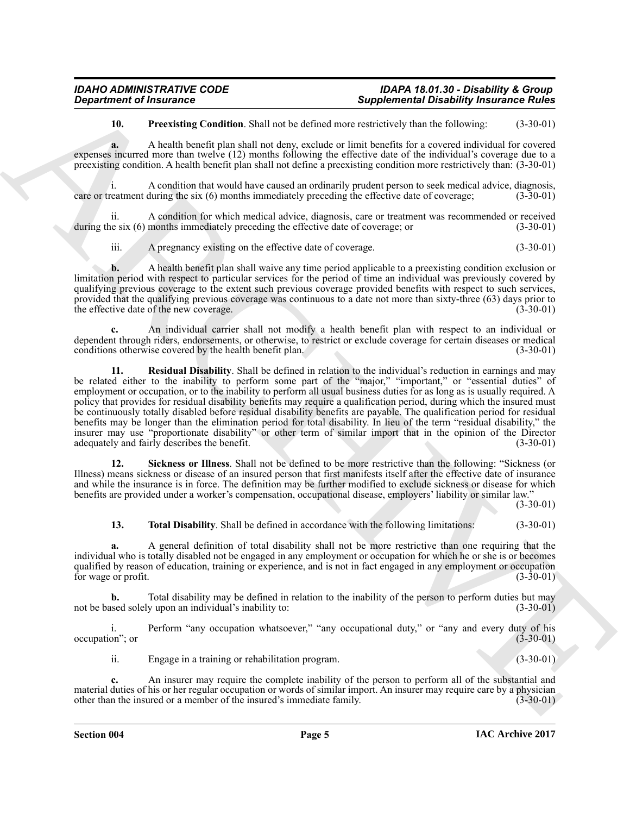<span id="page-4-0"></span>**10. Preexisting Condition**. Shall not be defined more restrictively than the following: (3-30-01)

**a.** A health benefit plan shall not deny, exclude or limit benefits for a covered individual for covered expenses incurred more than twelve (12) months following the effective date of the individual's coverage due to a preexisting condition. A health benefit plan shall not define a preexisting condition more restrictively than: (3-30-01)

i. A condition that would have caused an ordinarily prudent person to seek medical advice, diagnosis, care or treatment during the six (6) months immediately preceding the effective date of coverage; (3-30-01)

ii. A condition for which medical advice, diagnosis, care or treatment was recommended or received at est (6) months immediately preceding the effective date of coverage; or (3-30-01) during the six (6) months immediately preceding the effective date of coverage; or

iii. A pregnancy existing on the effective date of coverage. (3-30-01)

**b.** A health benefit plan shall waive any time period applicable to a preexisting condition exclusion or limitation period with respect to particular services for the period of time an individual was previously covered by qualifying previous coverage to the extent such previous coverage provided benefits with respect to such services, provided that the qualifying previous coverage was continuous to a date not more than sixty-three (63) days prior to the effective date of the new coverage. (3-30-01)

<span id="page-4-1"></span>**c.** An individual carrier shall not modify a health benefit plan with respect to an individual or dependent through riders, endorsements, or otherwise, to restrict or exclude coverage for certain diseases or medical conditions otherwise covered by the health benefit plan. (3-30-01) conditions otherwise covered by the health benefit plan.

**Expansion of Francesco Constitution**. Said as the defined note that constitute the main of the same of the same of the same of the same of the same of the same of the same of the same of the same of the same of the same **11. Residual Disability**. Shall be defined in relation to the individual's reduction in earnings and may be related either to the inability to perform some part of the "major," "important," or "essential duties" of employment or occupation, or to the inability to perform all usual business duties for as long as is usually required. A policy that provides for residual disability benefits may require a qualification period, during which the insured must be continuously totally disabled before residual disability benefits are payable. The qualification period for residual benefits may be longer than the elimination period for total disability. In lieu of the term "residual disability," the insurer may use "proportionate disability" or other term of similar import that in the opinion of the Director adequately and fairly describes the benefit. (3-30-01) adequately and fairly describes the benefit.

<span id="page-4-2"></span>**12. Sickness or Illness**. Shall not be defined to be more restrictive than the following: "Sickness (or Illness) means sickness or disease of an insured person that first manifests itself after the effective date of insurance and while the insurance is in force. The definition may be further modified to exclude sickness or disease for which benefits are provided under a worker's compensation, occupational disease, employers' liability or similar law."

(3-30-01)

#### <span id="page-4-3"></span>**13. Total Disability**. Shall be defined in accordance with the following limitations: (3-30-01)

**a.** A general definition of total disability shall not be more restrictive than one requiring that the individual who is totally disabled not be engaged in any employment or occupation for which he or she is or becomes qualified by reason of education, training or experience, and is not in fact engaged in any employment or occupation<br>(3-30-01) for wage or profit.

**b.** Total disability may be defined in relation to the inability of the person to perform duties but may not be based solely upon an individual's inability to: (3-30-01)

i. Perform "any occupation whatsoever," "any occupational duty," or "any and every duty of his on"; or  $(3-30-01)$ occupation"; or

ii. Engage in a training or rehabilitation program. (3-30-01)

**c.** An insurer may require the complete inability of the person to perform all of the substantial and material duties of his or her regular occupation or words of similar import. An insurer may require care by a physician other than the insured or a member of the insured's immediate family. (3-30-01) other than the insured or a member of the insured's immediate family.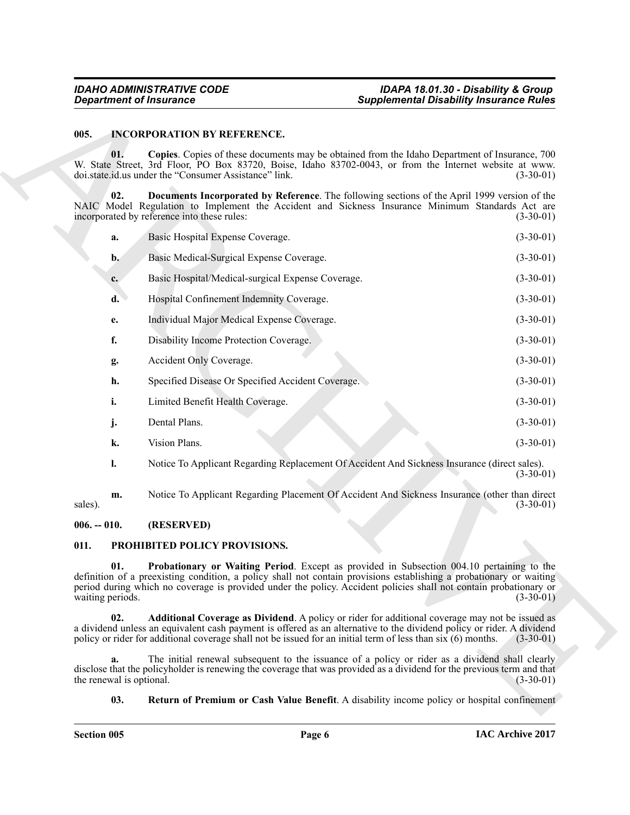#### <span id="page-5-0"></span>**005. INCORPORATION BY REFERENCE.**

|               |                                | <b>Department of Insurance</b>                                                                                                                                                                                                                                                                                                           | <b>Supplemental Disability Insurance Rules</b> |             |
|---------------|--------------------------------|------------------------------------------------------------------------------------------------------------------------------------------------------------------------------------------------------------------------------------------------------------------------------------------------------------------------------------------|------------------------------------------------|-------------|
| 005.          |                                | <b>INCORPORATION BY REFERENCE.</b>                                                                                                                                                                                                                                                                                                       |                                                |             |
|               | 01.                            | Copies. Copies of these documents may be obtained from the Idaho Department of Insurance, 700<br>W. State Street, 3rd Floor, PO Box 83720, Boise, Idaho 83702-0043, or from the Internet website at www.<br>doi.state.id.us under the "Consumer Assistance" link.                                                                        |                                                | $(3-30-01)$ |
|               | 02.                            | Documents Incorporated by Reference. The following sections of the April 1999 version of the<br>NAIC Model Regulation to Implement the Accident and Sickness Insurance Minimum Standards Act are<br>incorporated by reference into these rules:                                                                                          |                                                | $(3-30-01)$ |
|               | a.                             | Basic Hospital Expense Coverage.                                                                                                                                                                                                                                                                                                         |                                                | $(3-30-01)$ |
|               | $\mathbf{b}$ .                 | Basic Medical-Surgical Expense Coverage.                                                                                                                                                                                                                                                                                                 |                                                | $(3-30-01)$ |
|               | c.                             | Basic Hospital/Medical-surgical Expense Coverage.                                                                                                                                                                                                                                                                                        |                                                | $(3-30-01)$ |
|               | d.                             | Hospital Confinement Indemnity Coverage.                                                                                                                                                                                                                                                                                                 |                                                | $(3-30-01)$ |
|               | e.                             | Individual Major Medical Expense Coverage.                                                                                                                                                                                                                                                                                               |                                                | $(3-30-01)$ |
|               | f.                             | Disability Income Protection Coverage.                                                                                                                                                                                                                                                                                                   |                                                | $(3-30-01)$ |
|               | g.                             | Accident Only Coverage.                                                                                                                                                                                                                                                                                                                  |                                                | $(3-30-01)$ |
|               | h.                             | Specified Disease Or Specified Accident Coverage.                                                                                                                                                                                                                                                                                        |                                                | $(3-30-01)$ |
|               | i.                             | Limited Benefit Health Coverage.                                                                                                                                                                                                                                                                                                         |                                                | $(3-30-01)$ |
|               | j.                             | Dental Plans.                                                                                                                                                                                                                                                                                                                            |                                                | $(3-30-01)$ |
|               | k.                             | Vision Plans.                                                                                                                                                                                                                                                                                                                            |                                                | $(3-30-01)$ |
|               | 1.                             | Notice To Applicant Regarding Replacement Of Accident And Sickness Insurance (direct sales).                                                                                                                                                                                                                                             |                                                | $(3-30-01)$ |
| sales).       | m.                             | Notice To Applicant Regarding Placement Of Accident And Sickness Insurance (other than direct                                                                                                                                                                                                                                            |                                                | $(3-30-01)$ |
| $006. - 010.$ |                                | (RESERVED)                                                                                                                                                                                                                                                                                                                               |                                                |             |
| 011.          |                                | <b>PROHIBITED POLICY PROVISIONS.</b>                                                                                                                                                                                                                                                                                                     |                                                |             |
|               | 01.<br>waiting periods.        | Probationary or Waiting Period. Except as provided in Subsection 004.10 pertaining to the<br>definition of a preexisting condition, a policy shall not contain provisions establishing a probationary or waiting<br>period during which no coverage is provided under the policy. Accident policies shall not contain probationary or    |                                                | $(3-30-01)$ |
|               | 02.                            | Additional Coverage as Dividend. A policy or rider for additional coverage may not be issued as<br>a dividend unless an equivalent cash payment is offered as an alternative to the dividend policy or rider. A dividend<br>policy or rider for additional coverage shall not be issued for an initial term of less than six (6) months. |                                                | $(3-30-01)$ |
|               | a.<br>the renewal is optional. | The initial renewal subsequent to the issuance of a policy or rider as a dividend shall clearly<br>disclose that the policyholder is renewing the coverage that was provided as a dividend for the previous term and that                                                                                                                |                                                | $(3-30-01)$ |
|               |                                |                                                                                                                                                                                                                                                                                                                                          |                                                |             |

#### <span id="page-5-1"></span>**006. -- 010. (RESERVED)**

#### <span id="page-5-6"></span><span id="page-5-5"></span><span id="page-5-4"></span><span id="page-5-3"></span><span id="page-5-2"></span>**011. PROHIBITED POLICY PROVISIONS.**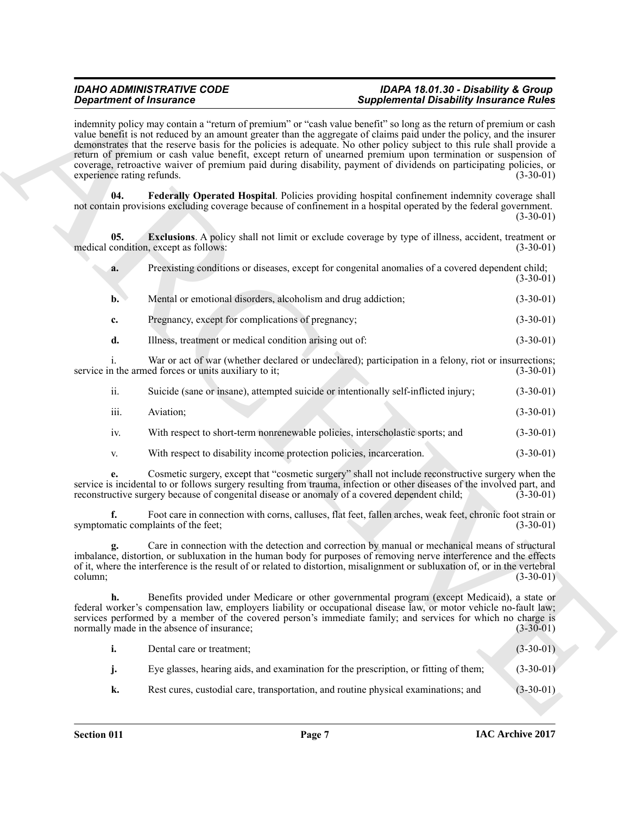**Experimental control in the state of the state of the state of the state of the state of the state of the state of the state of the state of the state of the state of the state of the state of the state of the state of t** indemnity policy may contain a "return of premium" or "cash value benefit" so long as the return of premium or cash value benefit is not reduced by an amount greater than the aggregate of claims paid under the policy, and the insurer demonstrates that the reserve basis for the policies is adequate. No other policy subject to this rule shall provide a return of premium or cash value benefit, except return of unearned premium upon termination or suspension of coverage, retroactive waiver of premium paid during disability, payment of dividends on participating policies, or experience rating refunds. (3-30-01) (3-30-01)

<span id="page-6-1"></span>**04. Federally Operated Hospital**. Policies providing hospital confinement indemnity coverage shall not contain provisions excluding coverage because of confinement in a hospital operated by the federal government. (3-30-01)

**05. Exclusions**. A policy shall not limit or exclude coverage by type of illness, accident, treatment or condition. except as follows:  $(3-30-01)$ medical condition, except as follows:

<span id="page-6-0"></span>

| Preexisting conditions or diseases, except for congenital anomalies of a covered dependent child; |  |             |
|---------------------------------------------------------------------------------------------------|--|-------------|
|                                                                                                   |  | $(3-30-01)$ |

| $\mathbf{b}$ . | Mental or emotional disorders, alcoholism and drug addiction; | $(3-30-01)$ |
|----------------|---------------------------------------------------------------|-------------|
|                | Pregnancy, except for complications of pregnancy;             | $(3-30-01)$ |

**d.** Illness, treatment or medical condition arising out of: (3-30-01)

i. War or act of war (whether declared or undeclared); participation in a felony, riot or insurrections; service in the armed forces or units auxiliary to it; (3-30-01)

| $\cdot\cdot$ | Suicide (sane or insane), attempted suicide or intentionally self-inflicted injury; | $(3-30-01)$ |
|--------------|-------------------------------------------------------------------------------------|-------------|
| iii.         | Aviation:                                                                           | $(3-30-01)$ |

- iv. With respect to short-term nonrenewable policies, interscholastic sports; and (3-30-01)
- v. With respect to disability income protection policies, incarceration. (3-30-01)

**e.** Cosmetic surgery, except that "cosmetic surgery" shall not include reconstructive surgery when the service is incidental to or follows surgery resulting from trauma, infection or other diseases of the involved part, and reconstructive surgery because of congenital disease or anomaly of a covered dependent child: (3-30-0 reconstructive surgery because of congenital disease or anomaly of a covered dependent child;

**f.** Foot care in connection with corns, calluses, flat feet, fallen arches, weak feet, chronic foot strain or natio complaints of the feet: (3-30-01) symptomatic complaints of the feet;

**g.** Care in connection with the detection and correction by manual or mechanical means of structural imbalance, distortion, or subluxation in the human body for purposes of removing nerve interference and the effects of it, where the interference is the result of or related to distortion, misalignment or subluxation of, or in the vertebral column; (3-30-01)  $\sim$  (3-30-01) (3-30-01)

**h.** Benefits provided under Medicare or other governmental program (except Medicaid), a state or federal worker's compensation law, employers liability or occupational disease law, or motor vehicle no-fault law; services performed by a member of the covered person's immediate family; and services for which no charge is normally made in the absence of insurance; normally made in the absence of insurance;

| <b>i.</b> | Dental care or treatment;                                                            | $(3-30-01)$ |
|-----------|--------------------------------------------------------------------------------------|-------------|
| <b>1.</b> | Eye glasses, hearing aids, and examination for the prescription, or fitting of them; | $(3-30-01)$ |
| k.        | Rest cures, custodial care, transportation, and routine physical examinations; and   | $(3-30-01)$ |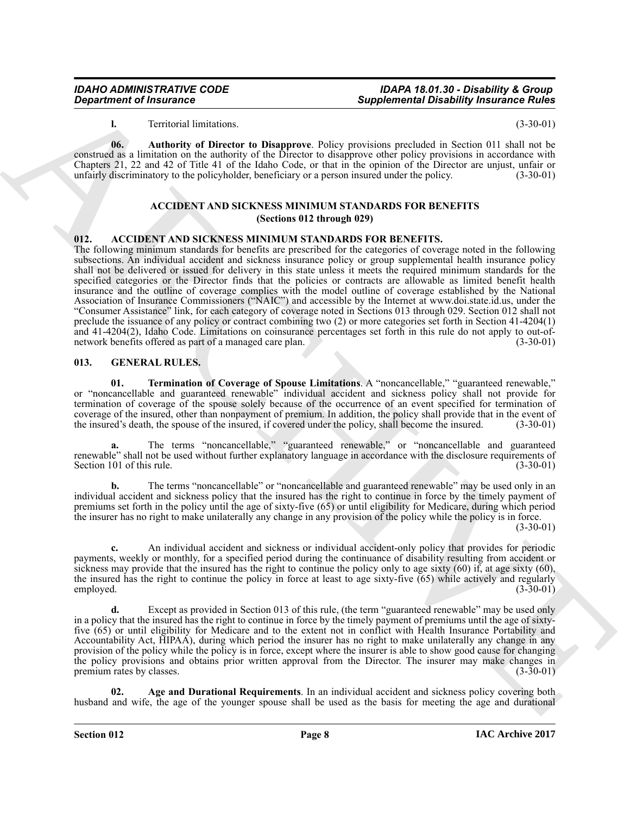<span id="page-7-6"></span>**l.** Territorial limitations. (3-30-01)

**06. Authority of Director to Disapprove**. Policy provisions precluded in Section 011 shall not be construed as a limitation on the authority of the Director to disapprove other policy provisions in accordance with Chapters 21, 22 and 42 of Title 41 of the Idaho Code, or that in the opinion of the Director are unjust, unfair or unfairly discriminatory to the policyholder, beneficiary or a person insured under the policy. (3-30-01)

#### **ACCIDENT AND SICKNESS MINIMUM STANDARDS FOR BENEFITS (Sections 012 through 029)**

#### <span id="page-7-2"></span><span id="page-7-0"></span>**012. ACCIDENT AND SICKNESS MINIMUM STANDARDS FOR BENEFITS.**

**Expansion of Instantines Complemental Disability functions of the same of the same of the same of the same of the same of the same of the same of the same of the same of the same of the same of the same of the same of th** The following minimum standards for benefits are prescribed for the categories of coverage noted in the following subsections. An individual accident and sickness insurance policy or group supplemental health insurance policy shall not be delivered or issued for delivery in this state unless it meets the required minimum standards for the specified categories or the Director finds that the policies or contracts are allowable as limited benefit health insurance and the outline of coverage complies with the model outline of coverage established by the National Association of Insurance Commissioners ("NAIC") and accessible by the Internet at www.doi.state.id.us, under the "Consumer Assistance" link, for each category of coverage noted in Sections 013 through 029. Section 012 shall not preclude the issuance of any policy or contract combining two (2) or more categories set forth in Section 41-4204(1) and 41-4204(2), Idaho Code. Limitations on coinsurance percentages set forth in this rule do not apply to out-of-<br>network benefits offered as part of a managed care plan. (3-30-01) network benefits offered as part of a managed care plan.

#### <span id="page-7-3"></span><span id="page-7-1"></span>**013. GENERAL RULES.**

<span id="page-7-5"></span>**01. Termination of Coverage of Spouse Limitations**. A "noncancellable," "guaranteed renewable," or "noncancellable and guaranteed renewable" individual accident and sickness policy shall not provide for termination of coverage of the spouse solely because of the occurrence of an event specified for termination of coverage of the insured, other than nonpayment of premium. In addition, the policy shall provide that in the event of the insured's death, the spouse of the insured, if covered under the policy, shall become the insured. ( the insured's death, the spouse of the insured, if covered under the policy, shall become the insured.

**a.** The terms "noncancellable," "guaranteed renewable," or "noncancellable and guaranteed renewable" shall not be used without further explanatory language in accordance with the disclosure requirements of Section 101 of this rule. (3-30-01)

**b.** The terms "noncancellable" or "noncancellable and guaranteed renewable" may be used only in an individual accident and sickness policy that the insured has the right to continue in force by the timely payment of premiums set forth in the policy until the age of sixty-five (65) or until eligibility for Medicare, during which period the insurer has no right to make unilaterally any change in any provision of the policy while the policy is in force.

 $(3-30-01)$ 

**c.** An individual accident and sickness or individual accident-only policy that provides for periodic payments, weekly or monthly, for a specified period during the continuance of disability resulting from accident or sickness may provide that the insured has the right to continue the policy only to age sixty  $(60)$  if, at age sixty  $(60)$ , the insured has the right to continue the policy in force at least to age sixty-five  $(65)$  while actively and regularly employed.  $(3-30-01)$ employed. (3-30-01)

**d.** Except as provided in Section 013 of this rule, (the term "guaranteed renewable" may be used only in a policy that the insured has the right to continue in force by the timely payment of premiums until the age of sixtyfive (65) or until eligibility for Medicare and to the extent not in conflict with Health Insurance Portability and Accountability Act, HIPAA), during which period the insurer has no right to make unilaterally any change in any provision of the policy while the policy is in force, except where the insurer is able to show good cause for changing the policy provisions and obtains prior written approval from the Director. The insurer may make changes in premium rates by classes. premium rates by classes.

<span id="page-7-4"></span>**02. Age and Durational Requirements**. In an individual accident and sickness policy covering both husband and wife, the age of the younger spouse shall be used as the basis for meeting the age and durational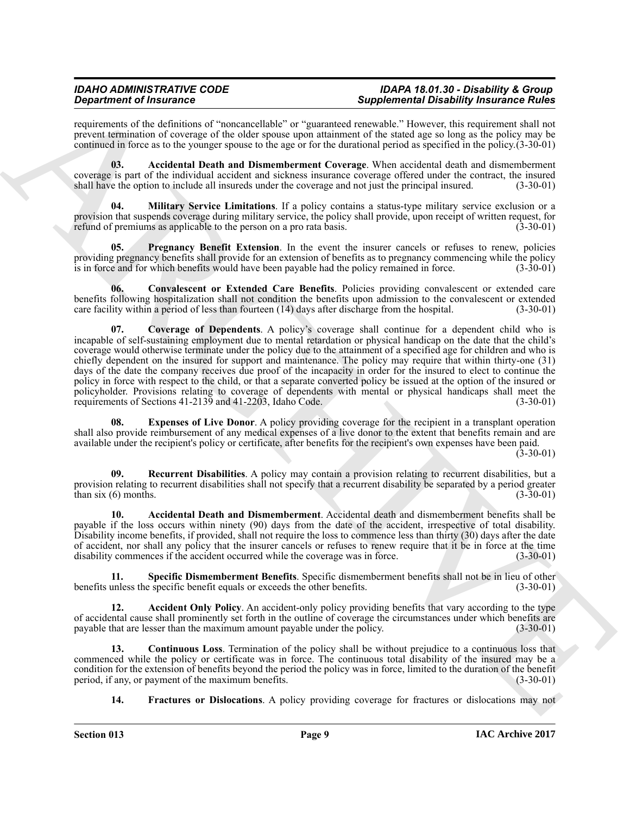## *IDAHO ADMINISTRATIVE CODE IDAPA 18.01.30 - Disability & Group*

## **Supplemental Disability Insurance Rules**

requirements of the definitions of "noncancellable" or "guaranteed renewable." However, this requirement shall not prevent termination of coverage of the older spouse upon attainment of the stated age so long as the policy may be continued in force as to the younger spouse to the age or for the durational period as specified in the policy.(3-30-01)

<span id="page-8-2"></span>**03. Accidental Death and Dismemberment Coverage**. When accidental death and dismemberment coverage is part of the individual accident and sickness insurance coverage offered under the contract, the insured shall have the option to include all insureds under the coverage and not just the principal insured. (3-30 shall have the option to include all insureds under the coverage and not just the principal insured.

<span id="page-8-8"></span>**04. Military Service Limitations**. If a policy contains a status-type military service exclusion or a provision that suspends coverage during military service, the policy shall provide, upon receipt of written request, for refund of premiums as applicable to the person on a pro rata basis. (3-30-01)

<span id="page-8-9"></span>**05. Pregnancy Benefit Extension**. In the event the insurer cancels or refuses to renew, policies providing pregnancy benefits shall provide for an extension of benefits as to pregnancy commencing while the policy is in force and for which benefits would have been payable had the policy remained in force. (3-30-01)

<span id="page-8-5"></span><span id="page-8-4"></span>**06. Convalescent or Extended Care Benefits**. Policies providing convalescent or extended care benefits following hospitalization shall not condition the benefits upon admission to the convalescent or extended care facility within a period of less than fourteen (14) days after discharge from the hospital. (3-30-01)

Gradrina of the atoms in "excession delay" or "secure the projection of the atoms in the second stress of the second stress of the atoms in the second stress of the second stress of the second stress of the second stress **07. Coverage of Dependents**. A policy's coverage shall continue for a dependent child who is incapable of self-sustaining employment due to mental retardation or physical handicap on the date that the child's coverage would otherwise terminate under the policy due to the attainment of a specified age for children and who is chiefly dependent on the insured for support and maintenance. The policy may require that within thirty-one (31) days of the date the company receives due proof of the incapacity in order for the insured to elect to continue the policy in force with respect to the child, or that a separate converted policy be issued at the option of the insured or policyholder. Provisions relating to coverage of dependents with mental or physical handicaps shall meet the requirements of Sections 41-2139 and 41-2203, Idaho Code. (3-30-01) requirements of Sections 41-2139 and 41-2203, Idaho Code.

<span id="page-8-6"></span>Expenses of Live Donor. A policy providing coverage for the recipient in a transplant operation shall also provide reimbursement of any medical expenses of a live donor to the extent that benefits remain and are available under the recipient's policy or certificate, after benefits for the recipient's own expenses have been paid.

(3-30-01)

<span id="page-8-10"></span>**09. Recurrent Disabilities**. A policy may contain a provision relating to recurrent disabilities, but a provision relating to recurrent disabilities shall not specify that a recurrent disability be separated by a period greater than six (6) months.  $(3-30-01)$ 

<span id="page-8-1"></span>**10. Accidental Death and Dismemberment**. Accidental death and dismemberment benefits shall be payable if the loss occurs within ninety (90) days from the date of the accident, irrespective of total disability. Disability income benefits, if provided, shall not require the loss to commence less than thirty (30) days after the date of accident, nor shall any policy that the insurer cancels or refuses to renew require that it be in force at the time disability commences if the accident occurred while the coverage was in force. (3-30-01)

<span id="page-8-11"></span>**11. Specific Dismemberment Benefits**. Specific dismemberment benefits shall not be in lieu of other unless the specific benefit equals or exceeds the other benefits. (3-30-01) benefits unless the specific benefit equals or exceeds the other benefits.

<span id="page-8-0"></span>**12. Accident Only Policy**. An accident-only policy providing benefits that vary according to the type of accidental cause shall prominently set forth in the outline of coverage the circumstances under which benefits are payable that are lesser than the maximum amount payable under the policy. (3-30-01) payable that are lesser than the maximum amount payable under the policy.

**13. Continuous Loss**. Termination of the policy shall be without prejudice to a continuous loss that commenced while the policy or certificate was in force. The continuous total disability of the insured may be a condition for the extension of benefits beyond the period the policy was in force, limited to the duration of the benefit period, if any, or payment of the maximum benefits. (3-30-01) period, if any, or payment of the maximum benefits.

<span id="page-8-7"></span><span id="page-8-3"></span>**14. Fractures or Dislocations**. A policy providing coverage for fractures or dislocations may not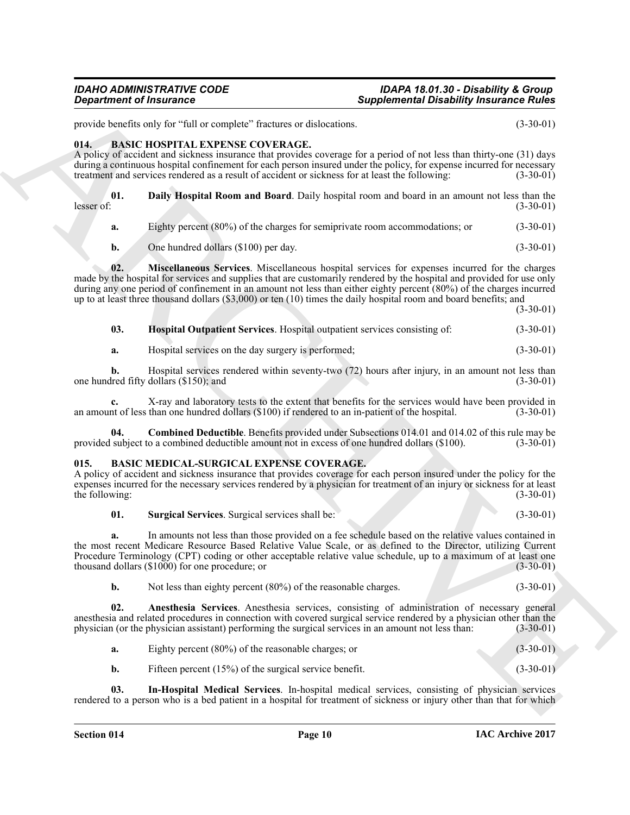provide benefits only for "full or complete" fractures or dislocations. (3-30-01)

### <span id="page-9-2"></span><span id="page-9-0"></span>**014. BASIC HOSPITAL EXPENSE COVERAGE.**

A policy of accident and sickness insurance that provides coverage for a period of not less than thirty-one (31) days during a continuous hospital confinement for each person insured under the policy, for expense incurred for necessary treatment and services rendered as a result of accident or sickness for at least the following: (3-30-01)

|            | <b>Daily Hospital Room and Board.</b> Daily hospital room and board in an amount not less than the |
|------------|----------------------------------------------------------------------------------------------------|
| lesser of: | $(3-30-01)$                                                                                        |

<span id="page-9-4"></span>**a.** Eighty percent (80%) of the charges for semiprivate room accommodations; or (3-30-01)

<span id="page-9-6"></span>**b.** One hundred dollars (\$100) per day. (3-30-01)

**02. Miscellaneous Services**. Miscellaneous hospital services for expenses incurred for the charges made by the hospital for services and supplies that are customarily rendered by the hospital and provided for use only during any one period of confinement in an amount not less than either eighty percent (80%) of the charges incurred up to at least three thousand dollars (\$3,000) or ten (10) times the daily hospital room and board benefits; and

(3-30-01)

- <span id="page-9-5"></span>**03. Hospital Outpatient Services**. Hospital outpatient services consisting of: (3-30-01)
- **a.** Hospital services on the day surgery is performed;  $(3-30-01)$

**b.** Hospital services rendered within seventy-two (72) hours after injury, in an amount not less than lead fifty dollars (\$150): and (3-30-01) one hundred fifty dollars  $(\$150)$ ; and

**c.** X-ray and laboratory tests to the extent that benefits for the services would have been provided in the of less than one hundred dollars (\$100) if rendered to an in-patient of the hospital. (3-30-01) an amount of less than one hundred dollars (\$100) if rendered to an in-patient of the hospital.

<span id="page-9-3"></span>**04.** Combined Deductible. Benefits provided under Subsections 014.01 and 014.02 of this rule may be subject to a combined deductible amount not in excess of one hundred dollars (\$100). (3-30-01) provided subject to a combined deductible amount not in excess of one hundred dollars (\$100).

#### <span id="page-9-7"></span><span id="page-9-1"></span>**015. BASIC MEDICAL-SURGICAL EXPENSE COVERAGE.**

A policy of accident and sickness insurance that provides coverage for each person insured under the policy for the expenses incurred for the necessary services rendered by a physician for treatment of an injury or sickness for at least<br>(3-30-01) the following:

#### <span id="page-9-10"></span>**01. Surgical Services**. Surgical services shall be: (3-30-01)

**Experiment of Instance C**<br>
Supplimentari Disability fractament C<br>
growtown in the Sale consider Eucliston on diskussion on the Construction of the Sale Construction<br>
The Sale Roof Roof Plan Archives Constrained Constrain **a.** In amounts not less than those provided on a fee schedule based on the relative values contained in the most recent Medicare Resource Based Relative Value Scale, or as defined to the Director, utilizing Current Procedure Terminology (CPT) coding or other acceptable relative value schedule, up to a maximum of at least one thousand dollars (\$1000) for one procedure; or thousand dollars  $(\$1000)$  for one procedure; or

<span id="page-9-8"></span>**b.** Not less than eighty percent (80%) of the reasonable charges. (3-30-01)

**02. Anesthesia Services**. Anesthesia services, consisting of administration of necessary general anesthesia and related procedures in connection with covered surgical service rendered by a physician other than the physician (or the physician assistant) performing the surgical services in an amount not less than: (3-30 physician (or the physician assistant) performing the surgical services in an amount not less than:

<span id="page-9-9"></span>

| Eighty percent $(80\%)$ of the reasonable charges; or    | $(3-30-01)$ |
|----------------------------------------------------------|-------------|
| Fifteen percent $(15%)$ of the surgical service benefit. | $(3-30-01)$ |

**03. In-Hospital Medical Services**. In-hospital medical services, consisting of physician services rendered to a person who is a bed patient in a hospital for treatment of sickness or injury other than that for which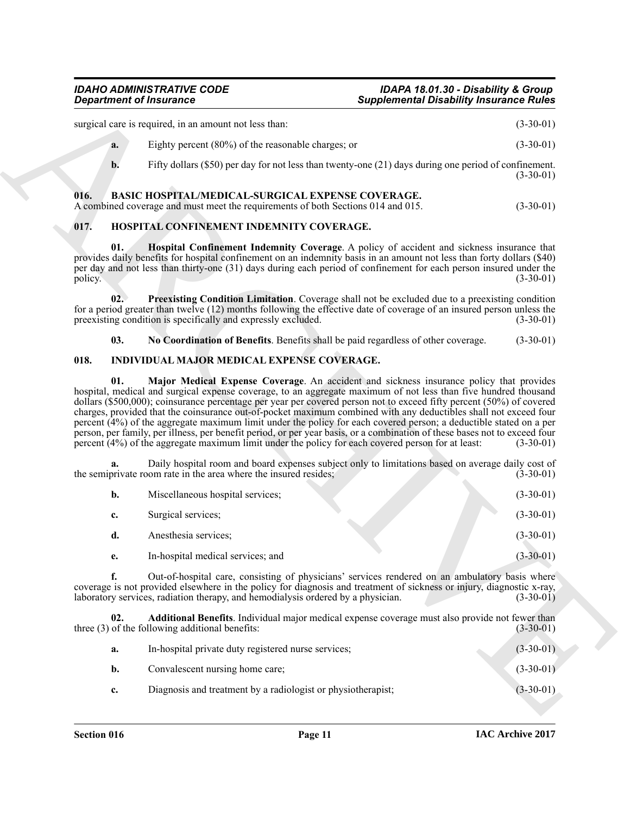#### <span id="page-10-3"></span><span id="page-10-0"></span>**016. BASIC HOSPITAL/MEDICAL-SURGICAL EXPENSE COVERAGE.**

### <span id="page-10-7"></span><span id="page-10-5"></span><span id="page-10-4"></span><span id="page-10-1"></span>**017. HOSPITAL CONFINEMENT INDEMNITY COVERAGE.**

#### <span id="page-10-10"></span><span id="page-10-8"></span><span id="page-10-6"></span><span id="page-10-2"></span>**018. INDIVIDUAL MAJOR MEDICAL EXPENSE COVERAGE.**

|                | <b>Department of Insurance</b>                                                                                                                                                                                                                                                                                                                                                                                                                                                                                                                                                                                                                                                                                        | <b>Supplemental Disability Insurance Rules</b>                                                                        |                                           |
|----------------|-----------------------------------------------------------------------------------------------------------------------------------------------------------------------------------------------------------------------------------------------------------------------------------------------------------------------------------------------------------------------------------------------------------------------------------------------------------------------------------------------------------------------------------------------------------------------------------------------------------------------------------------------------------------------------------------------------------------------|-----------------------------------------------------------------------------------------------------------------------|-------------------------------------------|
|                | surgical care is required, in an amount not less than:                                                                                                                                                                                                                                                                                                                                                                                                                                                                                                                                                                                                                                                                |                                                                                                                       | $(3-30-01)$                               |
| a.             | Eighty percent $(80\%)$ of the reasonable charges; or                                                                                                                                                                                                                                                                                                                                                                                                                                                                                                                                                                                                                                                                 |                                                                                                                       | $(3-30-01)$                               |
| b.             | Fifty dollars $(\$50)$ per day for not less than twenty-one $(21)$ days during one period of confinement.                                                                                                                                                                                                                                                                                                                                                                                                                                                                                                                                                                                                             |                                                                                                                       | $(3-30-01)$                               |
| 016.           | BASIC HOSPITAL/MEDICAL-SURGICAL EXPENSE COVERAGE.<br>A combined coverage and must meet the requirements of both Sections 014 and 015.                                                                                                                                                                                                                                                                                                                                                                                                                                                                                                                                                                                 |                                                                                                                       | $(3-30-01)$                               |
| 017.           | HOSPITAL CONFINEMENT INDEMNITY COVERAGE.                                                                                                                                                                                                                                                                                                                                                                                                                                                                                                                                                                                                                                                                              |                                                                                                                       |                                           |
| 01.<br>policy. | <b>Hospital Confinement Indemnity Coverage.</b> A policy of accident and sickness insurance that<br>provides daily benefits for hospital confinement on an indemnity basis in an amount not less than forty dollars (\$40)<br>per day and not less than thirty-one (31) days during each period of confinement for each person insured under the                                                                                                                                                                                                                                                                                                                                                                      |                                                                                                                       | $(3-30-01)$                               |
| 02.            | <b>Preexisting Condition Limitation</b> . Coverage shall not be excluded due to a preexisting condition<br>for a period greater than twelve (12) months following the effective date of coverage of an insured person unless the<br>preexisting condition is specifically and expressly excluded.                                                                                                                                                                                                                                                                                                                                                                                                                     |                                                                                                                       | $(3-30-01)$                               |
| 03.            | No Coordination of Benefits. Benefits shall be paid regardless of other coverage.                                                                                                                                                                                                                                                                                                                                                                                                                                                                                                                                                                                                                                     |                                                                                                                       | $(3-30-01)$                               |
| 018.           | INDIVIDUAL MAJOR MEDICAL EXPENSE COVERAGE.                                                                                                                                                                                                                                                                                                                                                                                                                                                                                                                                                                                                                                                                            |                                                                                                                       |                                           |
|                | hospital, medical and surgical expense coverage, to an aggregate maximum of not less than five hundred thousand<br>dollars (\$500,000); coinsurance percentage per year per covered person not to exceed fifty percent (50%) of covered<br>charges, provided that the coinsurance out-of-pocket maximum combined with any deductibles shall not exceed four<br>percent (4%) of the aggregate maximum limit under the policy for each covered person; a deductible stated on a per<br>person, per family, per illness, per benefit period, or per year basis, or a combination of these bases not to exceed four<br>percent (4%) of the aggregate maximum limit under the policy for each covered person for at least: |                                                                                                                       | $(3-30-01)$                               |
| a.             | Daily hospital room and board expenses subject only to limitations based on average daily cost of<br>the semiprivate room rate in the area where the insured resides;                                                                                                                                                                                                                                                                                                                                                                                                                                                                                                                                                 |                                                                                                                       | $(3-30-01)$                               |
| $\mathbf{b}$ . | Miscellaneous hospital services;                                                                                                                                                                                                                                                                                                                                                                                                                                                                                                                                                                                                                                                                                      |                                                                                                                       | $(3-30-01)$                               |
| c.             | Surgical services;                                                                                                                                                                                                                                                                                                                                                                                                                                                                                                                                                                                                                                                                                                    |                                                                                                                       | $(3-30-01)$                               |
| d.             | Anesthesia services;                                                                                                                                                                                                                                                                                                                                                                                                                                                                                                                                                                                                                                                                                                  |                                                                                                                       | $(3-30-01)$                               |
| e.             | In-hospital medical services; and                                                                                                                                                                                                                                                                                                                                                                                                                                                                                                                                                                                                                                                                                     |                                                                                                                       | $(3-30-01)$                               |
|                | Out-of-hospital care, consisting of physicians' services rendered on an ambulatory basis where                                                                                                                                                                                                                                                                                                                                                                                                                                                                                                                                                                                                                        | coverage is not provided elsewhere in the policy for diagnosis and treatment of sickness or injury, diagnostic x-ray, |                                           |
| f.             | laboratory services, radiation therapy, and hemodialysis ordered by a physician.                                                                                                                                                                                                                                                                                                                                                                                                                                                                                                                                                                                                                                      |                                                                                                                       |                                           |
| 02.            | Additional Benefits. Individual major medical expense coverage must also provide not fewer than<br>three (3) of the following additional benefits:                                                                                                                                                                                                                                                                                                                                                                                                                                                                                                                                                                    |                                                                                                                       |                                           |
| a.             | In-hospital private duty registered nurse services;                                                                                                                                                                                                                                                                                                                                                                                                                                                                                                                                                                                                                                                                   |                                                                                                                       | $(3-30-01)$<br>$(3-30-01)$<br>$(3-30-01)$ |
| b.             | Convalescent nursing home care;                                                                                                                                                                                                                                                                                                                                                                                                                                                                                                                                                                                                                                                                                       |                                                                                                                       | $(3-30-01)$                               |

<span id="page-10-9"></span>

| а. | In-hospital private duty registered nurse services;          | $(3-30-01)$ |
|----|--------------------------------------------------------------|-------------|
| b. | Convalescent nursing home care:                              | $(3-30-01)$ |
| c. | Diagnosis and treatment by a radiologist or physiotherapist; | $(3-30-01)$ |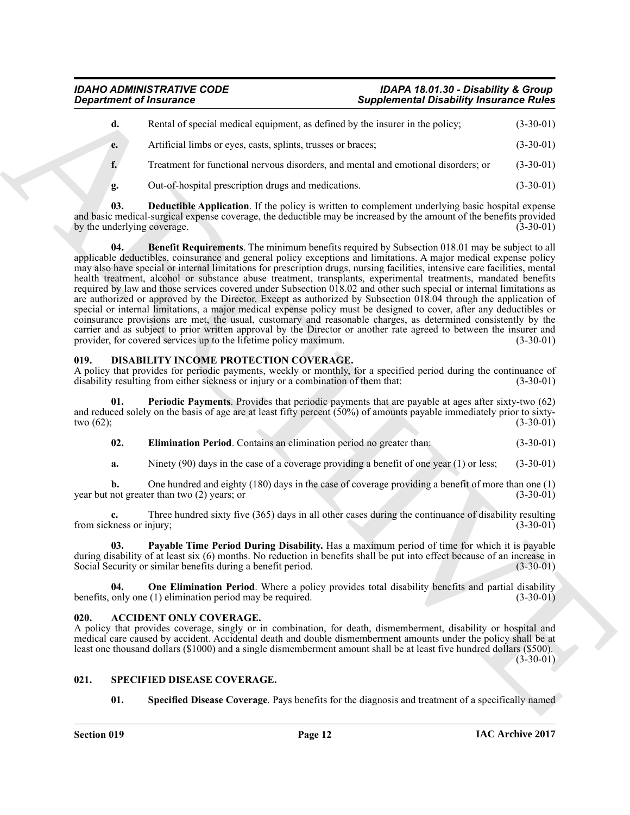| d. | Rental of special medical equipment, as defined by the insurer in the policy;      | $(3-30-01)$ |
|----|------------------------------------------------------------------------------------|-------------|
| e. | Artificial limbs or eves, casts, splints, trusses or braces;                       | $(3-30-01)$ |
|    | Treatment for functional nervous disorders, and mental and emotional disorders; or | $(3-30-01)$ |

<span id="page-11-10"></span><span id="page-11-9"></span>**g.** Out-of-hospital prescription drugs and medications. (3-30-01)

**03. Deductible Application**. If the policy is written to complement underlying basic hospital expense and basic medical-surgical expense coverage, the deductible may be increased by the amount of the benefits provided<br>by the underlying coverage. (3-30-01) by the underlying coverage.

**Expariment of Instantines Complemental Distribution** (Supplemental Distribution) (E. The United States of the Content of the Content of Instantine (1980)<br>
4. Archives in the content of the Content of Content of Content o **04. Benefit Requirements**. The minimum benefits required by Subsection 018.01 may be subject to all applicable deductibles, coinsurance and general policy exceptions and limitations. A major medical expense policy may also have special or internal limitations for prescription drugs, nursing facilities, intensive care facilities, mental health treatment, alcohol or substance abuse treatment, transplants, experimental treatments, mandated benefits required by law and those services covered under Subsection 018.02 and other such special or internal limitations as are authorized or approved by the Director. Except as authorized by Subsection 018.04 through the application of special or internal limitations, a major medical expense policy must be designed to cover, after any deductibles or coinsurance provisions are met, the usual, customary and reasonable charges, as determined consistently by the carrier and as subject to prior written approval by the Director or another rate agreed to between the insurer and provider, for covered services up to the lifetime policy maximum. (3-30-01) provider, for covered services up to the lifetime policy maximum.

#### <span id="page-11-4"></span><span id="page-11-0"></span>**019. DISABILITY INCOME PROTECTION COVERAGE.**

A policy that provides for periodic payments, weekly or monthly, for a specified period during the continuance of disability resulting from either sickness or injury or a combination of them that: (3-30-01) disability resulting from either sickness or injury or a combination of them that:

**Periodic Payments**. Provides that periodic payments that are payable at ages after sixty-two (62) and reduced solely on the basis of age are at least fifty percent (50%) of amounts payable immediately prior to sixty-<br>(3-30-01) (3-30-01) two  $(62)$ ; (3-30-01)

<span id="page-11-8"></span><span id="page-11-5"></span>**02. Elimination Period**. Contains an elimination period no greater than: (3-30-01)

**a.** Ninety (90) days in the case of a coverage providing a benefit of one year (1) or less; (3-30-01)

**b.** One hundred and eighty (180) days in the case of coverage providing a benefit of more than one (1) not greater than two (2) vears: or year but not greater than two  $(2)$  years; or

**c.** Three hundred sixty five (365) days in all other cases during the continuance of disability resulting cness or injury: (3-30-01) from sickness or injury;

<span id="page-11-7"></span>**03. Payable Time Period During Disability.** Has a maximum period of time for which it is payable during disability of at least six (6) months. No reduction in benefits shall be put into effect because of an increase in Social Security or similar benefits during a benefit period. (3-30-01) Social Security or similar benefits during a benefit period.

<span id="page-11-6"></span>**04.** One Elimination Period. Where a policy provides total disability benefits and partial disability only one (1) elimination period may be required. benefits, only one  $(1)$  elimination period may be required.

### <span id="page-11-3"></span><span id="page-11-1"></span>**020. ACCIDENT ONLY COVERAGE.**

A policy that provides coverage, singly or in combination, for death, dismemberment, disability or hospital and medical care caused by accident. Accidental death and double dismemberment amounts under the policy shall be at least one thousand dollars (\$1000) and a single dismemberment amount shall be at least five hundred dollars (\$500).  $(3-30-01)$ 

#### <span id="page-11-2"></span>**021. SPECIFIED DISEASE COVERAGE.**

<span id="page-11-12"></span><span id="page-11-11"></span>**01. Specified Disease Coverage**. Pays benefits for the diagnosis and treatment of a specifically named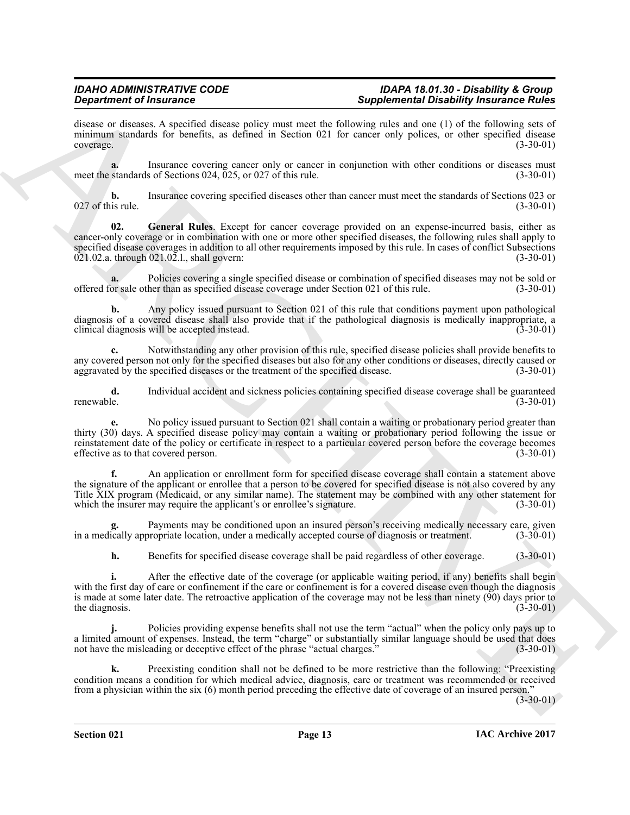disease or diseases. A specified disease policy must meet the following rules and one (1) of the following sets of minimum standards for benefits, as defined in Section 021 for cancer only polices, or other specified disease  $\text{coverage.}$  (3-30-01)

**a.** Insurance covering cancer only or cancer in conjunction with other conditions or diseases must meet the standards of Sections  $024$ ,  $025$ , or  $027$  of this rule. (3-30-01)

**b.** Insurance covering specified diseases other than cancer must meet the standards of Sections 023 or is rule. (3-30-01)  $027$  of this rule.

<span id="page-12-0"></span>**02. General Rules**. Except for cancer coverage provided on an expense-incurred basis, either as cancer-only coverage or in combination with one or more other specified diseases, the following rules shall apply to specified disease coverages in addition to all other requirements imposed by this rule. In cases of conflict Subsections 021.02.a. through 021.02.1, shall govern:  $021.02.a.$  through  $021.02.l.$ , shall govern:

**a.** Policies covering a single specified disease or combination of specified diseases may not be sold or or sale other than as specified disease coverage under Section 021 of this rule. (3-30-01) offered for sale other than as specified disease coverage under Section 021 of this rule.

**b.** Any policy issued pursuant to Section 021 of this rule that conditions payment upon pathological diagnosis of a covered disease shall also provide that if the pathological diagnosis is medically inappropriate, a clinical diagnosis will be accepted instead. (3-30-01) clinical diagnosis will be accepted instead.

**c.** Notwithstanding any other provision of this rule, specified disease policies shall provide benefits to any covered person not only for the specified diseases but also for any other conditions or diseases, directly caused or aggravated by the specified diseases or the treatment of the specified disease. (3-30-01) aggravated by the specified diseases or the treatment of the specified disease.

**d.** Individual accident and sickness policies containing specified disease coverage shall be guaranteed renewable. (3-30-01) renewable. (3-30-01)

**e.** No policy issued pursuant to Section 021 shall contain a waiting or probationary period greater than thirty (30) days. A specified disease policy may contain a waiting or probationary period following the issue or reinstatement date of the policy or certificate in respect to a particular covered person before the coverage becomes effective as to that covered person. (3-30-01)

**Significant of Francesco<sup>18</sup> can be a state of the system of the system of the system of the system of the system of the system of the system of the system of the system of the system of the system of the system of the s f.** An application or enrollment form for specified disease coverage shall contain a statement above the signature of the applicant or enrollee that a person to be covered for specified disease is not also covered by any Title XIX program (Medicaid, or any similar name). The statement may be combined with any other statement for which the insurer may require the applicant's or enrollee's signature. (3-30-01) which the insurer may require the applicant's or enrollee's signature.

Payments may be conditioned upon an insured person's receiving medically necessary care, given<br>propriate location, under a medically accepted course of diagnosis or treatment. (3-30-01) in a medically appropriate location, under a medically accepted course of diagnosis or treatment.

**h.** Benefits for specified disease coverage shall be paid regardless of other coverage. (3-30-01)

**i.** After the effective date of the coverage (or applicable waiting period, if any) benefits shall begin with the first day of care or confinement if the care or confinement is for a covered disease even though the diagnosis is made at some later date. The retroactive application of the coverage may not be less than ninety (90) days prior to the diagnosis.  $(3-30-01)$ 

**j.** Policies providing expense benefits shall not use the term "actual" when the policy only pays up to a limited amount of expenses. Instead, the term "charge" or substantially similar language should be used that does not have the misleading or deceptive effect of the phrase "actual charges." (3-30-01)

**k.** Preexisting condition shall not be defined to be more restrictive than the following: "Preexisting condition means a condition for which medical advice, diagnosis, care or treatment was recommended or received from a physician within the six (6) month period preceding the effective date of coverage of an insured person."

 $(3-30-01)$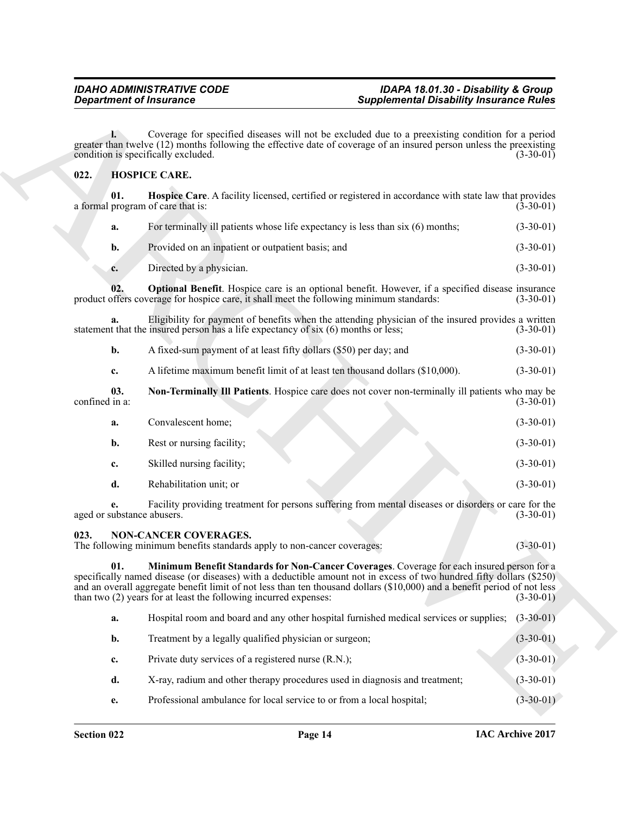### <span id="page-13-2"></span><span id="page-13-0"></span>**022. HOSPICE CARE.**

<span id="page-13-3"></span>

| Provided on an inpatient or outpatient basis; and | $(3-30-01)$ |
|---------------------------------------------------|-------------|

<span id="page-13-5"></span>

| Directed by a physician. | $(3-30-01)$ |
|--------------------------|-------------|

<span id="page-13-4"></span>

| A fixed-sum payment of at least fifty dollars (\$50) per day; and | $(3-30-01)$ |
|-------------------------------------------------------------------|-------------|
|                                                                   |             |

| <b>Department of Insurance</b>                                                                                                                                                                                                                                                                                              |                                                                                                         | <b>Supplemental Disability Insurance Rules</b>                                                                                                                                                                           |             |
|-----------------------------------------------------------------------------------------------------------------------------------------------------------------------------------------------------------------------------------------------------------------------------------------------------------------------------|---------------------------------------------------------------------------------------------------------|--------------------------------------------------------------------------------------------------------------------------------------------------------------------------------------------------------------------------|-------------|
|                                                                                                                                                                                                                                                                                                                             | $\mathbf{L}$<br>condition is specifically excluded.                                                     | Coverage for specified diseases will not be excluded due to a preexisting condition for a period<br>greater than twelve (12) months following the effective date of coverage of an insured person unless the preexisting | $(3-30-01)$ |
| 022.                                                                                                                                                                                                                                                                                                                        | <b>HOSPICE CARE.</b>                                                                                    |                                                                                                                                                                                                                          |             |
|                                                                                                                                                                                                                                                                                                                             | 01.<br>a formal program of care that is:                                                                | Hospice Care. A facility licensed, certified or registered in accordance with state law that provides                                                                                                                    | $(3-30-01)$ |
|                                                                                                                                                                                                                                                                                                                             | a.                                                                                                      | For terminally ill patients whose life expectancy is less than six (6) months;                                                                                                                                           | $(3-30-01)$ |
|                                                                                                                                                                                                                                                                                                                             | Provided on an inpatient or outpatient basis; and<br>b.                                                 |                                                                                                                                                                                                                          | $(3-30-01)$ |
|                                                                                                                                                                                                                                                                                                                             | Directed by a physician.<br>c.                                                                          |                                                                                                                                                                                                                          | $(3-30-01)$ |
|                                                                                                                                                                                                                                                                                                                             | 02.<br>product offers coverage for hospice care, it shall meet the following minimum standards:         | <b>Optional Benefit.</b> Hospice care is an optional benefit. However, if a specified disease insurance                                                                                                                  | $(3-30-01)$ |
|                                                                                                                                                                                                                                                                                                                             | a.<br>statement that the insured person has a life expectancy of six (6) months or less;                | Eligibility for payment of benefits when the attending physician of the insured provides a written                                                                                                                       | $(3-30-01)$ |
|                                                                                                                                                                                                                                                                                                                             | A fixed-sum payment of at least fifty dollars (\$50) per day; and<br>b.                                 |                                                                                                                                                                                                                          | $(3-30-01)$ |
|                                                                                                                                                                                                                                                                                                                             | c.                                                                                                      | A lifetime maximum benefit limit of at least ten thousand dollars (\$10,000).                                                                                                                                            | $(3-30-01)$ |
| confined in a:                                                                                                                                                                                                                                                                                                              | 03.                                                                                                     | Non-Terminally III Patients. Hospice care does not cover non-terminally ill patients who may be                                                                                                                          | $(3-30-01)$ |
|                                                                                                                                                                                                                                                                                                                             | Convalescent home;<br>a.                                                                                |                                                                                                                                                                                                                          | $(3-30-01)$ |
|                                                                                                                                                                                                                                                                                                                             | Rest or nursing facility;<br>b.                                                                         |                                                                                                                                                                                                                          | $(3-30-01)$ |
|                                                                                                                                                                                                                                                                                                                             | Skilled nursing facility;<br>c.                                                                         |                                                                                                                                                                                                                          | $(3-30-01)$ |
|                                                                                                                                                                                                                                                                                                                             | Rehabilitation unit; or<br>d.                                                                           |                                                                                                                                                                                                                          | $(3-30-01)$ |
|                                                                                                                                                                                                                                                                                                                             | е.<br>aged or substance abusers.                                                                        | Facility providing treatment for persons suffering from mental diseases or disorders or care for the                                                                                                                     | $(3-30-01)$ |
| 023.                                                                                                                                                                                                                                                                                                                        | <b>NON-CANCER COVERAGES.</b><br>The following minimum benefits standards apply to non-cancer coverages: |                                                                                                                                                                                                                          | $(3-30-01)$ |
| 01.<br>specifically named disease (or diseases) with a deductible amount not in excess of two hundred fifty dollars (\$250)<br>and an overall aggregate benefit limit of not less than ten thousand dollars (\$10,000) and a benefit period of not less<br>than two (2) years for at least the following incurred expenses: |                                                                                                         | Minimum Benefit Standards for Non-Cancer Coverages. Coverage for each insured person for a                                                                                                                               | $(3-30-01)$ |
|                                                                                                                                                                                                                                                                                                                             | a.                                                                                                      | Hospital room and board and any other hospital furnished medical services or supplies;                                                                                                                                   | $(3-30-01)$ |
|                                                                                                                                                                                                                                                                                                                             | Treatment by a legally qualified physician or surgeon;<br>$\mathbf{b}$ .                                |                                                                                                                                                                                                                          | $(3-30-01)$ |
|                                                                                                                                                                                                                                                                                                                             | Private duty services of a registered nurse (R.N.);<br>c.                                               |                                                                                                                                                                                                                          | $(3-30-01)$ |
|                                                                                                                                                                                                                                                                                                                             | d.                                                                                                      | X-ray, radium and other therapy procedures used in diagnosis and treatment;                                                                                                                                              | $(3-30-01)$ |
|                                                                                                                                                                                                                                                                                                                             | Professional ambulance for local service to or from a local hospital;<br>e.                             |                                                                                                                                                                                                                          | $(3-30-01)$ |

### <span id="page-13-7"></span><span id="page-13-6"></span><span id="page-13-1"></span>**023. NON-CANCER COVERAGES.**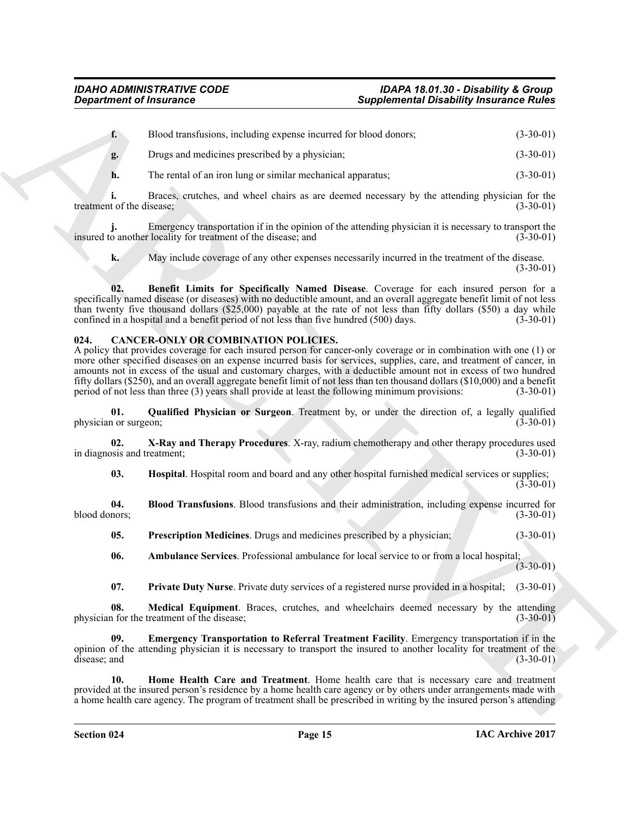| <b>Department of Insurance</b>     |                                                                                                                                                                                                                                                                                                                                                                                                                                                                                                                                                                                                                                                  |                                                                                                  | <b>Supplemental Disability Insurance Rules</b> |  |
|------------------------------------|--------------------------------------------------------------------------------------------------------------------------------------------------------------------------------------------------------------------------------------------------------------------------------------------------------------------------------------------------------------------------------------------------------------------------------------------------------------------------------------------------------------------------------------------------------------------------------------------------------------------------------------------------|--------------------------------------------------------------------------------------------------|------------------------------------------------|--|
| $\mathbf{f}$ .                     | Blood transfusions, including expense incurred for blood donors;                                                                                                                                                                                                                                                                                                                                                                                                                                                                                                                                                                                 |                                                                                                  | $(3-30-01)$                                    |  |
| g.                                 | Drugs and medicines prescribed by a physician;                                                                                                                                                                                                                                                                                                                                                                                                                                                                                                                                                                                                   |                                                                                                  | $(3-30-01)$                                    |  |
| h.                                 | The rental of an iron lung or similar mechanical apparatus;                                                                                                                                                                                                                                                                                                                                                                                                                                                                                                                                                                                      |                                                                                                  | $(3-30-01)$                                    |  |
| treatment of the disease;          |                                                                                                                                                                                                                                                                                                                                                                                                                                                                                                                                                                                                                                                  | Braces, crutches, and wheel chairs as are deemed necessary by the attending physician for the    | $(3-30-01)$                                    |  |
|                                    | Emergency transportation if in the opinion of the attending physician it is necessary to transport the<br>insured to another locality for treatment of the disease; and                                                                                                                                                                                                                                                                                                                                                                                                                                                                          |                                                                                                  | $(3-30-01)$                                    |  |
| k.                                 |                                                                                                                                                                                                                                                                                                                                                                                                                                                                                                                                                                                                                                                  | May include coverage of any other expenses necessarily incurred in the treatment of the disease. | $(3-30-01)$                                    |  |
| 02.                                | specifically named disease (or diseases) with no deductible amount, and an overall aggregate benefit limit of not less<br>than twenty five thousand dollars (\$25,000) payable at the rate of not less than fifty dollars (\$50) a day while<br>confined in a hospital and a benefit period of not less than five hundred (500) days.                                                                                                                                                                                                                                                                                                            | Benefit Limits for Specifically Named Disease. Coverage for each insured person for a            | $(3-30-01)$                                    |  |
| 024.                               | <b>CANCER-ONLY OR COMBINATION POLICIES.</b><br>A policy that provides coverage for each insured person for cancer-only coverage or in combination with one (1) or<br>more other specified diseases on an expense incurred basis for services, supplies, care, and treatment of cancer, in<br>amounts not in excess of the usual and customary charges, with a deductible amount not in excess of two hundred<br>fifty dollars (\$250), and an overall aggregate benefit limit of not less than ten thousand dollars (\$10,000) and a benefit<br>period of not less than three (3) years shall provide at least the following minimum provisions: |                                                                                                  | $(3-30-01)$                                    |  |
| 01.<br>physician or surgeon;       |                                                                                                                                                                                                                                                                                                                                                                                                                                                                                                                                                                                                                                                  | Qualified Physician or Surgeon. Treatment by, or under the direction of, a legally qualified     | $(3-30-01)$                                    |  |
| 02.<br>in diagnosis and treatment; | X-Ray and Therapy Procedures. X-ray, radium chemotherapy and other therapy procedures used                                                                                                                                                                                                                                                                                                                                                                                                                                                                                                                                                       |                                                                                                  | $(3-30-01)$                                    |  |
| 03.                                |                                                                                                                                                                                                                                                                                                                                                                                                                                                                                                                                                                                                                                                  | Hospital. Hospital room and board and any other hospital furnished medical services or supplies; | $(3-30-01)$                                    |  |
| 04.<br>blood donors;               |                                                                                                                                                                                                                                                                                                                                                                                                                                                                                                                                                                                                                                                  | Blood Transfusions. Blood transfusions and their administration, including expense incurred for  | $(3-30-01)$                                    |  |
| 05.                                | Prescription Medicines. Drugs and medicines prescribed by a physician;                                                                                                                                                                                                                                                                                                                                                                                                                                                                                                                                                                           |                                                                                                  | $(3-30-01)$                                    |  |
| 06.                                |                                                                                                                                                                                                                                                                                                                                                                                                                                                                                                                                                                                                                                                  | Ambulance Services. Professional ambulance for local service to or from a local hospital;        | $(3-30-01)$                                    |  |
| 07.                                |                                                                                                                                                                                                                                                                                                                                                                                                                                                                                                                                                                                                                                                  | Private Duty Nurse. Private duty services of a registered nurse provided in a hospital;          | $(3-30-01)$                                    |  |
| 08.                                | physician for the treatment of the disease;                                                                                                                                                                                                                                                                                                                                                                                                                                                                                                                                                                                                      | Medical Equipment. Braces, crutches, and wheelchairs deemed necessary by the attending           | $(3-30-01)$                                    |  |
| 09.<br>disease; and                | opinion of the attending physician it is necessary to transport the insured to another locality for treatment of the                                                                                                                                                                                                                                                                                                                                                                                                                                                                                                                             | Emergency Transportation to Referral Treatment Facility. Emergency transportation if in the      | $(3-30-01)$                                    |  |
| 10.                                | provided at the insured person's residence by a home health care agency or by others under arrangements made with<br>a home health care agency. The program of treatment shall be prescribed in writing by the insured person's attending                                                                                                                                                                                                                                                                                                                                                                                                        | Home Health Care and Treatment. Home health care that is necessary care and treatment            |                                                |  |

### <span id="page-14-12"></span><span id="page-14-11"></span><span id="page-14-10"></span><span id="page-14-9"></span><span id="page-14-8"></span><span id="page-14-7"></span><span id="page-14-6"></span><span id="page-14-5"></span><span id="page-14-4"></span><span id="page-14-3"></span><span id="page-14-2"></span><span id="page-14-1"></span><span id="page-14-0"></span>**024. CANCER-ONLY OR COMBINATION POLICIES.**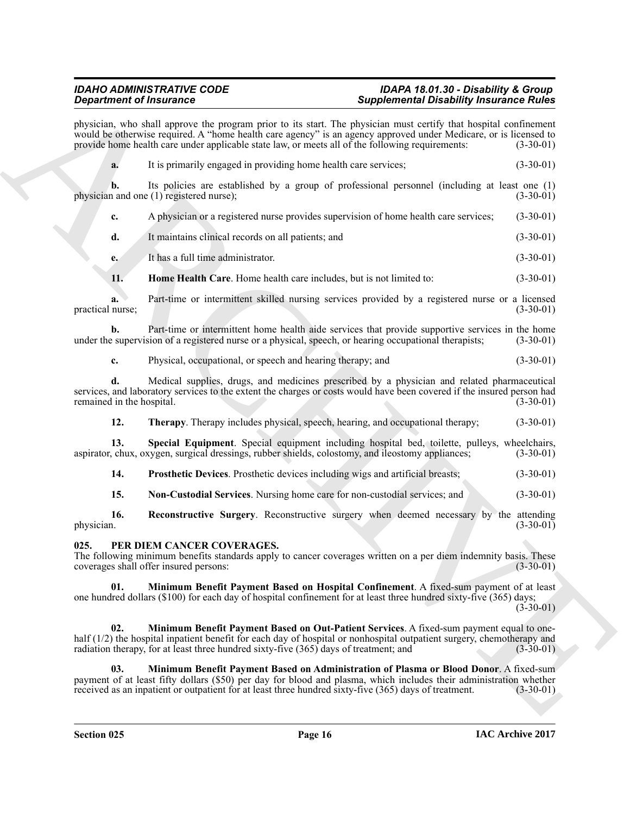physician, who shall approve the program prior to its start. The physician must certify that hospital confinement would be otherwise required. A "home health care agency" is an agency approved under Medicare, or is licensed to provide home health care under applicable state law, or meets all of the following requirements: (3-30-01) provide home health care under applicable state law, or meets all of the following requirements:

**Experimental The mass of the start is and the start in the start in the start in the start in the start in the start in the start of the start in the start of the start in the start of the start of the start in the start a.** It is primarily engaged in providing home health care services; (3-30-01) **b.** Its policies are established by a group of professional personnel (including at least one (1) n and one (1) registered nurse); (3-30-01) physician and one  $(1)$  registered nurse); **c.** A physician or a registered nurse provides supervision of home health care services; (3-30-01) **d.** It maintains clinical records on all patients; and (3-30-01) **e.** It has a full time administrator. (3-30-01) **11. Home Health Care**. Home health care includes, but is not limited to: (3-30-01) **a.** Part-time or intermittent skilled nursing services provided by a registered nurse or a licensed

<span id="page-15-1"></span>practical nurse; (3-30-01)

**b.** Part-time or intermittent home health aide services that provide supportive services in the home e supervision of a registered nurse or a physical, speech, or hearing occupational therapists; (3-30-01) under the supervision of a registered nurse or a physical, speech, or hearing occupational therapists;

**c.** Physical, occupational, or speech and hearing therapy; and (3-30-01)

**d.** Medical supplies, drugs, and medicines prescribed by a physician and related pharmaceutical services, and laboratory services to the extent the charges or costs would have been covered if the insured person had remained in the hospital. (3-30-01) remained in the hospital.

<span id="page-15-6"></span><span id="page-15-5"></span>**12. Therapy**. Therapy includes physical, speech, hearing, and occupational therapy; (3-30-01)

**13. Special Equipment**. Special equipment including hospital bed, toilette, pulleys, wheelchairs, chux, oxygen, surgical dressings, rubber shields, colostomy, and ileostomy appliances; (3-30-01) aspirator, chux, oxygen, surgical dressings, rubber shields, colostomy, and ileostomy appliances;

<span id="page-15-3"></span>**14. Prosthetic Devices**. Prosthetic devices including wigs and artificial breasts; (3-30-01)

<span id="page-15-4"></span><span id="page-15-2"></span>**15. Non-Custodial Services**. Nursing home care for non-custodial services; and (3-30-01)

**16. Reconstructive Surgery**. Reconstructive surgery when deemed necessary by the attending physician. (3-30-01) physician.  $(3-30-01)$ 

#### <span id="page-15-7"></span><span id="page-15-0"></span>**025. PER DIEM CANCER COVERAGES.**

The following minimum benefits standards apply to cancer coverages written on a per diem indemnity basis. These coverages shall offer insured persons: (3-30-01) coverages shall offer insured persons:

<span id="page-15-9"></span>**Minimum Benefit Payment Based on Hospital Confinement**. A fixed-sum payment of at least one hundred dollars (\$100) for each day of hospital confinement for at least three hundred sixty-five (365) days;

 $(3-30-01)$ 

<span id="page-15-10"></span>**02. Minimum Benefit Payment Based on Out-Patient Services**. A fixed-sum payment equal to onehalf (1/2) the hospital inpatient benefit for each day of hospital or nonhospital outpatient surgery, chemotherapy and radiation therapy, for at least three hundred sixty-five (365) days of treatment; and (3-30-01)

<span id="page-15-8"></span>**03. Minimum Benefit Payment Based on Administration of Plasma or Blood Donor**. A fixed-sum payment of at least fifty dollars (\$50) per day for blood and plasma, which includes their administration whether<br>received as an inpatient or outpatient for at least three hundred sixty-five (365) days of treatment. (3-30received as an inpatient or outpatient for at least three hundred sixty-five (365) days of treatment.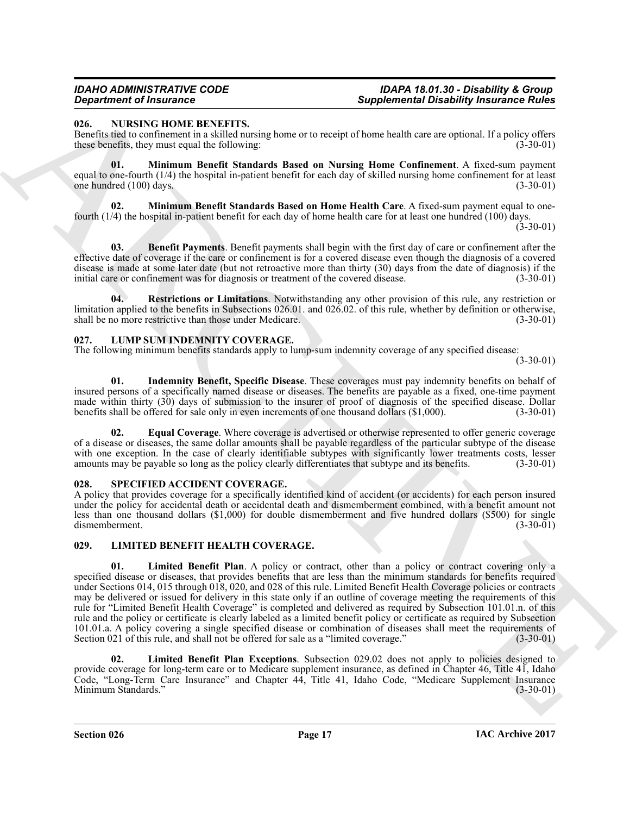#### <span id="page-16-10"></span><span id="page-16-0"></span>**026. NURSING HOME BENEFITS.**

Benefits tied to confinement in a skilled nursing home or to receipt of home health care are optional. If a policy offers these benefits, they must equal the following: (3-30-01) these benefits, they must equal the following:

<span id="page-16-13"></span>**01. Minimum Benefit Standards Based on Nursing Home Confinement**. A fixed-sum payment equal to one-fourth (1/4) the hospital in-patient benefit for each day of skilled nursing home confinement for at least<br>(100) days. (3-30-01) one hundred (100) days.

<span id="page-16-12"></span>**02. Minimum Benefit Standards Based on Home Health Care**. A fixed-sum payment equal to onefourth (1/4) the hospital in-patient benefit for each day of home health care for at least one hundred (100) days. (3-30-01)

<span id="page-16-11"></span>**03. Benefit Payments**. Benefit payments shall begin with the first day of care or confinement after the effective date of coverage if the care or confinement is for a covered disease even though the diagnosis of a covered disease is made at some later date (but not retroactive more than thirty (30) days from the date of diagnosis) if the initial care or confinement was for diagnosis or treatment of the covered disease. (3-30-01)

<span id="page-16-14"></span>**04. Restrictions or Limitations**. Notwithstanding any other provision of this rule, any restriction or limitation applied to the benefits in Subsections 026.01. and 026.02. of this rule, whether by definition or otherwise, shall be no more restrictive than those under Medicare. (3-30-01)

#### <span id="page-16-7"></span><span id="page-16-1"></span>**027. LUMP SUM INDEMNITY COVERAGE.**

The following minimum benefits standards apply to lump-sum indemnity coverage of any specified disease:

(3-30-01)

<span id="page-16-9"></span>**01. Indemnity Benefit, Specific Disease**. These coverages must pay indemnity benefits on behalf of insured persons of a specifically named disease or diseases. The benefits are payable as a fixed, one-time payment made within thirty (30) days of submission to the insurer of proof of diagnosis of the specified disease. Dollar benefits shall be offered for sale only in even increments of one thousand dollars (\$1,000). (3-30-01) benefits shall be offered for sale only in even increments of one thousand dollars (\$1,000).

<span id="page-16-8"></span>**Equal Coverage**. Where coverage is advertised or otherwise represented to offer generic coverage of a disease or diseases, the same dollar amounts shall be payable regardless of the particular subtype of the disease with one exception. In the case of clearly identifiable subtypes with significantly lower treatments costs, lesser amounts may be payable so long as the policy clearly differentiates that subtype and its benefits. (3-30-01)

#### <span id="page-16-15"></span><span id="page-16-2"></span>**028. SPECIFIED ACCIDENT COVERAGE.**

A policy that provides coverage for a specifically identified kind of accident (or accidents) for each person insured under the policy for accidental death or accidental death and dismemberment combined, with a benefit amount not less than one thousand dollars (\$1,000) for double dismemberment and five hundred dollars (\$500) for single dismemberment. (3-30-01) dismemberment.

#### <span id="page-16-5"></span><span id="page-16-4"></span><span id="page-16-3"></span>**029. LIMITED BENEFIT HEALTH COVERAGE.**

**Experimental Disability fracturates Completes and Complete Channel Branchity fracture in the complete Channel Branchity fracture in the complete Channel Branchite and Complete Channel Branchite and Channel Branchite and 01. Limited Benefit Plan**. A policy or contract, other than a policy or contract covering only a specified disease or diseases, that provides benefits that are less than the minimum standards for benefits required under Sections 014, 015 through 018, 020, and 028 of this rule. Limited Benefit Health Coverage policies or contracts may be delivered or issued for delivery in this state only if an outline of coverage meeting the requirements of this rule for "Limited Benefit Health Coverage" is completed and delivered as required by Subsection 101.01.n. of this rule and the policy or certificate is clearly labeled as a limited benefit policy or certificate as required by Subsection 101.01.a. A policy covering a single specified disease or combination of diseases shall meet the requirements of Section 021 of this rule, and shall not be offered for sale as a "limited coverage." (3-30-01) Section 021 of this rule, and shall not be offered for sale as a "limited coverage."

<span id="page-16-6"></span>**02. Limited Benefit Plan Exceptions**. Subsection 029.02 does not apply to policies designed to provide coverage for long-term care or to Medicare supplement insurance, as defined in Chapter 46, Title 41, Idaho Code, "Long-Term Care Insurance" and Chapter 44, Title 41, Idaho Code, "Medicare Supplement Insurance Minimum Standards." (3-30-01)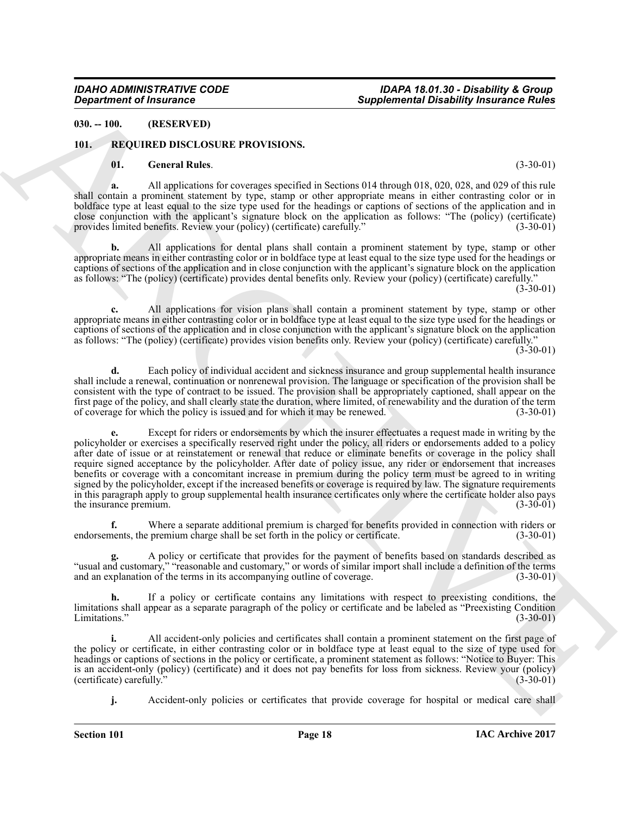### <span id="page-17-0"></span>**030. -- 100. (RESERVED)**

#### <span id="page-17-1"></span>**101. REQUIRED DISCLOSURE PROVISIONS.**

#### <span id="page-17-3"></span><span id="page-17-2"></span>**01. General Rules**. (3-30-01)

**a.** All applications for coverages specified in Sections 014 through 018, 020, 028, and 029 of this rule shall contain a prominent statement by type, stamp or other appropriate means in either contrasting color or in boldface type at least equal to the size type used for the headings or captions of sections of the application and in close conjunction with the applicant's signature block on the application as follows: "The (policy) (certificate) provides limited benefits. Review your (policy) (certificate) carefully." (3-30-01)

**b.** All applications for dental plans shall contain a prominent statement by type, stamp or other appropriate means in either contrasting color or in boldface type at least equal to the size type used for the headings or captions of sections of the application and in close conjunction with the applicant's signature block on the application as follows: "The (policy) (certificate) provides dental benefits only. Review your (policy) (certificate) carefully."  $(3-30-01)$ 

**c.** All applications for vision plans shall contain a prominent statement by type, stamp or other appropriate means in either contrasting color or in boldface type at least equal to the size type used for the headings or captions of sections of the application and in close conjunction with the applicant's signature block on the application as follows: "The (policy) (certificate) provides vision benefits only. Review your (policy) (certificate) carefully."

 $(3-30-01)$ 

**d.** Each policy of individual accident and sickness insurance and group supplemental health insurance shall include a renewal, continuation or nonrenewal provision. The language or specification of the provision shall be consistent with the type of contract to be issued. The provision shall be appropriately captioned, shall appear on the first page of the policy, and shall clearly state the duration, where limited, of renewability and the duration of the term<br>of coverage for which the policy is issued and for which it may be renewed. (3-30-01) of coverage for which the policy is issued and for which it may be renewed.

**Considered of Fracture C**<br> **Supplemental Distribution (Supplemental Distribution (Fig. 1991)<br>
10. <b>EVALUATION CONTRAPY (INTERNATION CONTRAPY (INTERNATION CONTRAPY (INTERNATION CONTRAPY (INTERNATION CONTRAPY (INTERNATION e.** Except for riders or endorsements by which the insurer effectuates a request made in writing by the policyholder or exercises a specifically reserved right under the policy, all riders or endorsements added to a policy after date of issue or at reinstatement or renewal that reduce or eliminate benefits or coverage in the policy shall require signed acceptance by the policyholder. After date of policy issue, any rider or endorsement that increases benefits or coverage with a concomitant increase in premium during the policy term must be agreed to in writing signed by the policyholder, except if the increased benefits or coverage is required by law. The signature requirements in this paragraph apply to group supplemental health insurance certificates only where the certificate holder also pays<br>the insurance premium. (3-30-01) the insurance premium.

**f.** Where a separate additional premium is charged for benefits provided in connection with riders or nents, the premium charge shall be set forth in the policy or certificate.  $(3-30-01)$ endorsements, the premium charge shall be set forth in the policy or certificate.

**g.** A policy or certificate that provides for the payment of benefits based on standards described as "usual and customary," "reasonable and customary," or words of similar import shall include a definition of the terms and an explanation of the terms in its accompanying outline of coverage. (3-30-01) and an explanation of the terms in its accompanying outline of coverage.

**h.** If a policy or certificate contains any limitations with respect to preexisting conditions, the limitations shall appear as a separate paragraph of the policy or certificate and be labeled as "Preexisting Condition Limitations." (3-30-01)

**i.** All accident-only policies and certificates shall contain a prominent statement on the first page of the policy or certificate, in either contrasting color or in boldface type at least equal to the size of type used for headings or captions of sections in the policy or certificate, a prominent statement as follows: "Notice to Buyer: This is an accident-only (policy) (certificate) and it does not pay benefits for loss from sickness. Review your (policy) (certificate) carefully." (3-30-01) (certificate) carefully.

**j.** Accident-only policies or certificates that provide coverage for hospital or medical care shall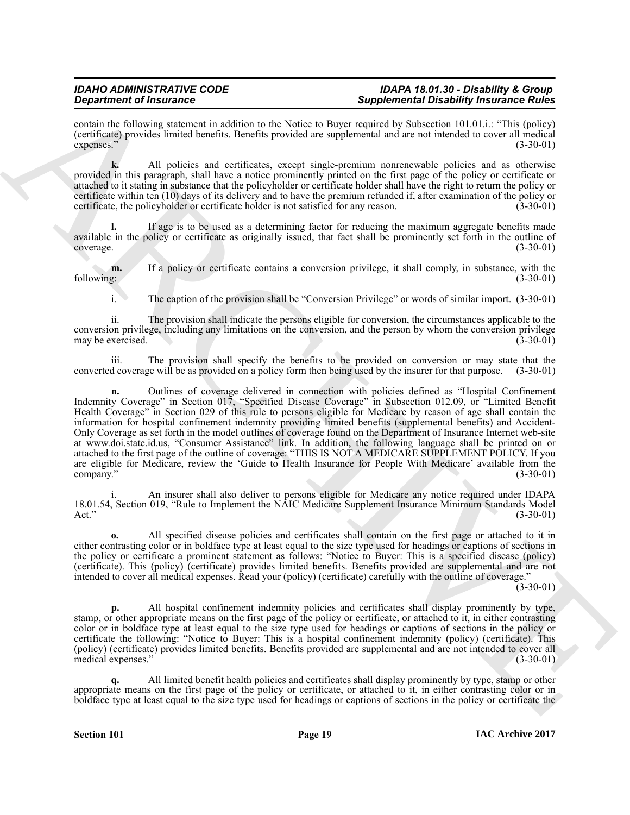contain the following statement in addition to the Notice to Buyer required by Subsection 101.01.i.: "This (policy) (certificate) provides limited benefits. Benefits provided are supplemental and are not intended to cover all medical  $\exp$ expenses." (3-30-01)

**k.** All policies and certificates, except single-premium nonrenewable policies and as otherwise provided in this paragraph, shall have a notice prominently printed on the first page of the policy or certificate or attached to it stating in substance that the policyholder or certificate holder shall have the right to return the policy or certificate within ten (10) days of its delivery and to have the premium refunded if, after examination of the policy or certificate, the policyholder or certificate holder is not satisfied for any reason. (3-30-01)

**l.** If age is to be used as a determining factor for reducing the maximum aggregate benefits made available in the policy or certificate as originally issued, that fact shall be prominently set forth in the outline of coverage. (3-30-01)

**m.** If a policy or certificate contains a conversion privilege, it shall comply, in substance, with the following: (3-30-01) following: (3-30-01)

i. The caption of the provision shall be "Conversion Privilege" or words of similar import. (3-30-01)

ii. The provision shall indicate the persons eligible for conversion, the circumstances applicable to the conversion privilege, including any limitations on the conversion, and the person by whom the conversion privilege may be exercised.

iii. The provision shall specify the benefits to be provided on conversion or may state that the converted coverage will be as provided on a policy form then being used by the insurer for that purpose. (3-30-01)

**Experimental Transmitters** in a following the state of the state of the state of the state of the state of the state of the state of the state of the state of the state of the state of the state of the state of the state **n.** Outlines of coverage delivered in connection with policies defined as "Hospital Confinement Indemnity Coverage" in Section 017, "Specified Disease Coverage" in Subsection 012.09, or "Limited Benefit Health Coverage" in Section 029 of this rule to persons eligible for Medicare by reason of age shall contain the information for hospital confinement indemnity providing limited benefits (supplemental benefits) and Accident-Only Coverage as set forth in the model outlines of coverage found on the Department of Insurance Internet web-site at www.doi.state.id.us, "Consumer Assistance" link. In addition, the following language shall be printed on or attached to the first page of the outline of coverage: "THIS IS NOT A MEDICARE SUPPLEMENT POLICY. If you are eligible for Medicare, review the 'Guide to Health Insurance for People With Medicare' available from the company." (3-30-01)  $\text{company.}$ " (3-30-01)

i. An insurer shall also deliver to persons eligible for Medicare any notice required under IDAPA 18.01.54, Section 019, "Rule to Implement the NAIC Medicare Supplement Insurance Minimum Standards Model Act." (3-30-01)

**o.** All specified disease policies and certificates shall contain on the first page or attached to it in either contrasting color or in boldface type at least equal to the size type used for headings or captions of sections in the policy or certificate a prominent statement as follows: "Notice to Buyer: This is a specified disease (policy) (certificate). This (policy) (certificate) provides limited benefits. Benefits provided are supplemental and are not intended to cover all medical expenses. Read your (policy) (certificate) carefully with the outline of coverage."

 $(3-30-01)$ 

**p.** All hospital confinement indemnity policies and certificates shall display prominently by type, stamp, or other appropriate means on the first page of the policy or certificate, or attached to it, in either contrasting color or in boldface type at least equal to the size type used for headings or captions of sections in the policy or certificate the following: "Notice to Buyer: This is a hospital confinement indemnity (policy) (certificate). This (policy) (certificate) provides limited benefits. Benefits provided are supplemental and are not intended to cover all medical expenses.'

**q.** All limited benefit health policies and certificates shall display prominently by type, stamp or other appropriate means on the first page of the policy or certificate, or attached to it, in either contrasting color or in boldface type at least equal to the size type used for headings or captions of sections in the policy or certificate the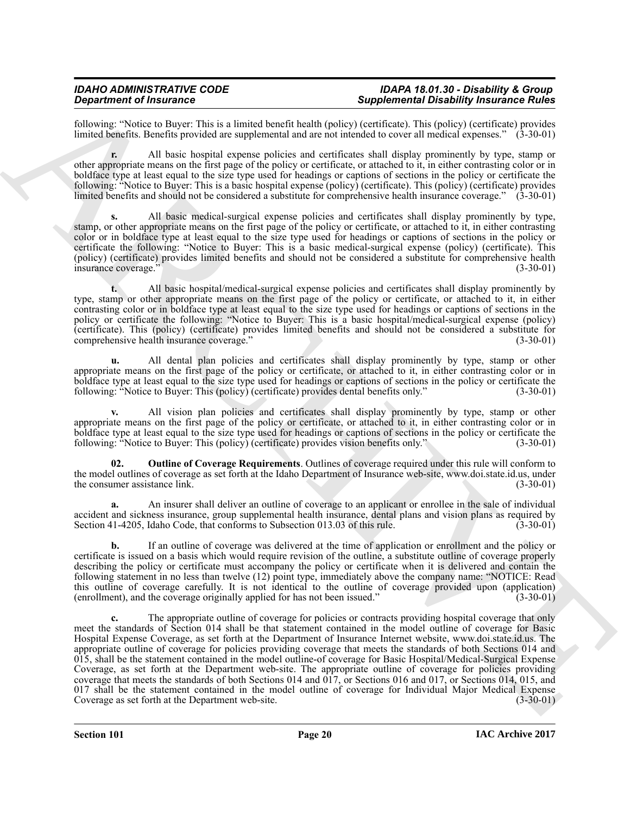following: "Notice to Buyer: This is a limited benefit health (policy) (certificate). This (policy) (certificate) provides limited benefits. Benefits provided are supplemental and are not intended to cover all medical expenses." (3-30-01)

**r.** All basic hospital expense policies and certificates shall display prominently by type, stamp or other appropriate means on the first page of the policy or certificate, or attached to it, in either contrasting color or in boldface type at least equal to the size type used for headings or captions of sections in the policy or certificate the following: "Notice to Buyer: This is a basic hospital expense (policy) (certificate). This (policy) (certificate) provides limited benefits and should not be considered a substitute for comprehensive health insurance coverage." (3-30-01)

**s.** All basic medical-surgical expense policies and certificates shall display prominently by type, stamp, or other appropriate means on the first page of the policy or certificate, or attached to it, in either contrasting color or in boldface type at least equal to the size type used for headings or captions of sections in the policy or certificate the following: "Notice to Buyer: This is a basic medical-surgical expense (policy) (certificate). This (policy) (certificate) provides limited benefits and should not be considered a substitute for comprehensive health insurance coverage." (3-30-01)

**t.** All basic hospital/medical-surgical expense policies and certificates shall display prominently by type, stamp or other appropriate means on the first page of the policy or certificate, or attached to it, in either contrasting color or in boldface type at least equal to the size type used for headings or captions of sections in the policy or certificate the following: "Notice to Buyer: This is a basic hospital/medical-surgical expense (policy) (certificate). This (policy) (certificate) provides limited benefits and should not be considered a substitute for comprehensive health insurance coverage."

**u.** All dental plan policies and certificates shall display prominently by type, stamp or other appropriate means on the first page of the policy or certificate, or attached to it, in either contrasting color or in boldface type at least equal to the size type used for headings or captions of sections in the policy or certificate the following: "Notice to Buyer: This (policy) (certificate) provides dental benefits only." (3-30-01) following: "Notice to Buyer: This (policy) (certificate) provides dental benefits only."

**v.** All vision plan policies and certificates shall display prominently by type, stamp or other appropriate means on the first page of the policy or certificate, or attached to it, in either contrasting color or in boldface type at least equal to the size type used for headings or captions of sections in the policy or certificate the following: "Notice to Buyer: This (policy) (certificate) provides vision benefits only." (3-30-01) following: "Notice to Buyer: This (policy) (certificate) provides vision benefits only."

<span id="page-19-0"></span>**02. Outline of Coverage Requirements**. Outlines of coverage required under this rule will conform to the model outlines of coverage as set forth at the Idaho Department of Insurance web-site, www.doi.state.id.us, under<br>(3-30-01)<br>(3-30-01) the consumer assistance link.

**a.** An insurer shall deliver an outline of coverage to an applicant or enrollee in the sale of individual accident and sickness insurance, group supplemental health insurance, dental plans and vision plans as required by<br>Section 41-4205. Idaho Code, that conforms to Subsection 013.03 of this rule. (3-30-01) Section 41-4205, Idaho Code, that conforms to Subsection 013.03 of this rule.

**b.** If an outline of coverage was delivered at the time of application or enrollment and the policy or certificate is issued on a basis which would require revision of the outline, a substitute outline of coverage properly describing the policy or certificate must accompany the policy or certificate when it is delivered and contain the following statement in no less than twelve (12) point type, immediately above the company name: "NOTICE: Read this outline of coverage carefully. It is not identical to the outline of coverage provided upon (application)<br>(enrollment) and the coverage originally applied for has not been issued."<br>(3-30-01) (enrollment), and the coverage originally applied for has not been issued."

*Gradrich of Human Characteristics and securities and securities and securities and securities and securities and securities and securities and securities and securities and securities are considered as the securities an* **c.** The appropriate outline of coverage for policies or contracts providing hospital coverage that only meet the standards of Section 014 shall be that statement contained in the model outline of coverage for Basic Hospital Expense Coverage, as set forth at the Department of Insurance Internet website, www.doi.state.id.us. The appropriate outline of coverage for policies providing coverage that meets the standards of both Sections 014 and 015, shall be the statement contained in the model outline-of coverage for Basic Hospital/Medical-Surgical Expense Coverage, as set forth at the Department web-site. The appropriate outline of coverage for policies providing coverage that meets the standards of both Sections 014 and 017, or Sections 016 and 017, or Sections 014, 015, and 017 shall be the statement contained in the model outline of coverage for Individual Major Medical Expense Coverage as set forth at the Department web-site. (3-30-01)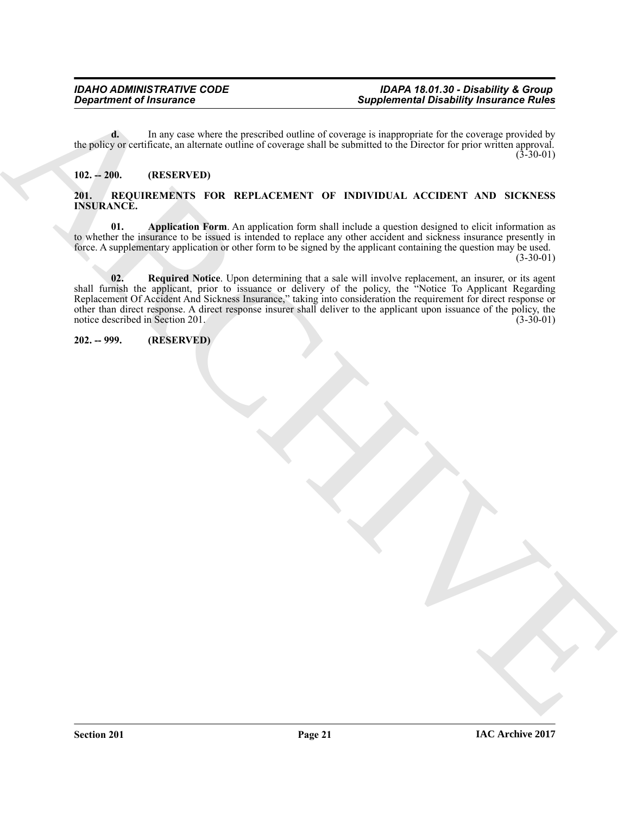**d.** In any case where the prescribed outline of coverage is inappropriate for the coverage provided by the policy or certificate, an alternate outline of coverage shall be submitted to the Director for prior written approval.  $(3-30-01)$ 

#### <span id="page-20-0"></span>**102. -- 200. (RESERVED)**

#### <span id="page-20-3"></span><span id="page-20-1"></span>**201. REQUIREMENTS FOR REPLACEMENT OF INDIVIDUAL ACCIDENT AND SICKNESS INSURANCE.**

<span id="page-20-5"></span><span id="page-20-4"></span>**01. Application Form**. An application form shall include a question designed to elicit information as to whether the insurance to be issued is intended to replace any other accident and sickness insurance presently in force. A supplementary application or other form to be signed by the applicant containing the question may be used.

 $(3-30-01)$ 

**Supplement of Instances**<br> **Supplement Original Distribution of Supplement Distribution of Supplement Distribution of The Supplement Original State<br>
<b>ARCHIVEN STRAIN CONTINUES AND INSTANCES INTO A CONTINUES AND INSTANCES 02. Required Notice**. Upon determining that a sale will involve replacement, an insurer, or its agent shall furnish the applicant, prior to issuance or delivery of the policy, the "Notice To Applicant Regarding Replacement Of Accident And Sickness Insurance," taking into consideration the requirement for direct response or other than direct response. A direct response insurer shall deliver to the applicant upon issuance of the policy, the notice described in Section 201. (3-30-01)

<span id="page-20-2"></span>**202. -- 999. (RESERVED)**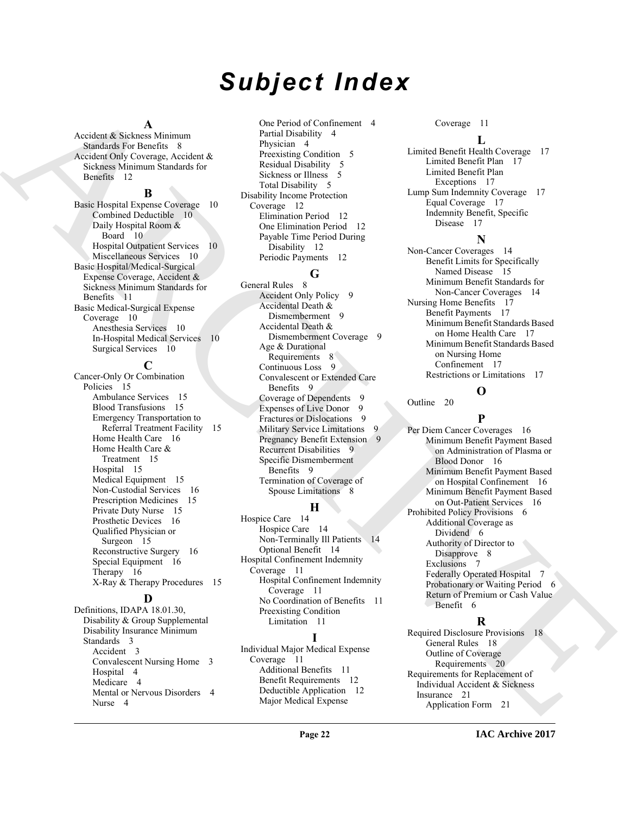## *Subject Index*

#### **A**

Accident & Sickness Minimum Standards For Benefits 8 Accident Only Coverage, Accident & Sickness Minimum Standards for Benefits 12

#### **B**

Basic Hospital Expense Coverage 10 Combined Deductible 10 Daily Hospital Room & Board 10 Hospital Outpatient Services 10 Miscellaneous Services 10 Basic Hospital/Medical-Surgical Expense Coverage, Accident & Sickness Minimum Standards for Benefits 11 Basic Medical-Surgical Expense Coverage 10 Anesthesia Services 10 In-Hospital Medical Services 10 Surgical Services 10

### **C**

[A](#page-11-3) consider a boundary of the consider a consider a consider a consider a consider a consider a consider a consider a consider a consider a consider a consider a consider a consider a consider a consider a consider a consi Cancer-Only Or Combination Policies 15 Ambulance Services 15 Blood Transfusions 15 Emergency Transportation to Referral Treatment Facility 15 Home Health Care 16 Home Health Care & Treatment 15 Hospital 15 Medical Equipment 15 Non-Custodial Services 16 Prescription Medicines 15 Private Duty Nurse 15 Prosthetic Devices 16 Qualified Physician or Surgeon 15 Reconstructive Surgery 16 Special Equipment 16 Therapy 16 X-Ray & Therapy Procedures 15

#### **D**

Definitions, IDAPA 18.01.30, Disability & Group Supplemental Disability Insurance Minimum Standards 3 Accident 3 Convalescent Nursing Home 3 Hospital 4 Medicare 4 Mental or Nervous Disorders 4 Nurse 4

One Period of Confinement 4 Partial Disability 4 Physician 4 Preexisting Condition 5 Residual Disability 5 Sickness or Illness 5 Total Disability 5 Disability Income Protection Coverage 12 Elimination Period 12 One Elimination Period 12 Payable Time Period During Disability 12 Periodic Payments 12

### **G**

General Rules 8 Accident Only Policy 9 Accidental Death & Dismemberment 9 Accidental Death & Dismemberment Coverage 9 Age & Durational Requirements 8 Continuous Loss 9 Convalescent or Extended Care Benefits 9 Coverage of Dependents 9 Expenses of Live Donor 9 Fractures or Dislocations 9 Military Service Limitations 9 Pregnancy Benefit Extension 9 Recurrent Disabilities 9 Specific Dismemberment Benefits 9 Termination of Coverage of Spouse Limitations 8

### **H**

Hospice Care 14 Hospice Care 14 Non-Terminally Ill Patients 14 Optional Benefit 14 Hospital Confinement Indemnity Coverage 11 Hospital Confinement Indemnity Coverage 11 No Coordination of Benefits 11 Preexisting Condition Limitation 11

### **I**

Individual Major Medical Expense Coverage 11 Additional Benefits 11 Benefit Requirements 12 Deductible Application 12 Major Medical Expense

Coverage 11

#### **L**

Limited Benefit Health Coverage 17 Limited Benefit Plan 17 Limited Benefit Plan Exceptions 17 Lump Sum Indemnity Coverage 17 Equal Coverage 17 Indemnity Benefit, Specific Disease 17

### **N**

Non-Cancer Coverages 14 Benefit Limits for Specifically Named Disease 15 Minimum Benefit Standards for Non-Cancer Coverages 14 Nursing Home Benefits 17 Benefit Payments 17 Minimum Benefit Standards Based on Home Health Care 17 Minimum Benefit Standards Based on Nursing Home Confinement 17 Restrictions or Limitations 17

**O**

Outline 20

### **P**

Per Diem Cancer Coverages 16 Minimum Benefit Payment Based on Administration of Plasma or Blood Donor 16 Minimum Benefit Payment Based on Hospital Confinement 16 Minimum Benefit Payment Based on Out-Patient Services 16 Prohibited Policy Provisions 6 Additional Coverage as Dividend 6 Authority of Director to Disapprove 8 Exclusions 7 Federally Operated Hospital 7 Probationary or Waiting Period 6 Return of Premium or Cash Value Benefit 6

### **R**

Required Disclosure Provisions 18 General Rules 18 Outline of Coverage Requirements 20 Requirements for Replacement of Individual Accident & Sickness Insurance 21 Application Form 21